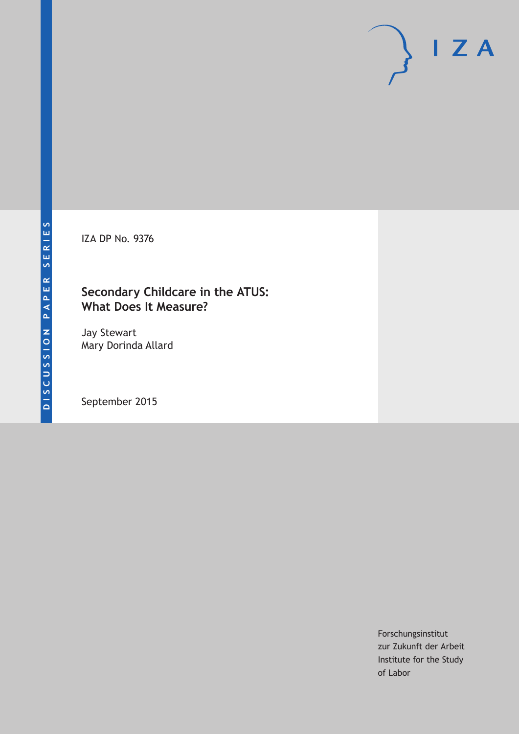IZA DP No. 9376

# **Secondary Childcare in the ATUS: What Does It Measure?**

Jay Stewart Mary Dorinda Allard

September 2015

Forschungsinstitut zur Zukunft der Arbeit Institute for the Study of Labor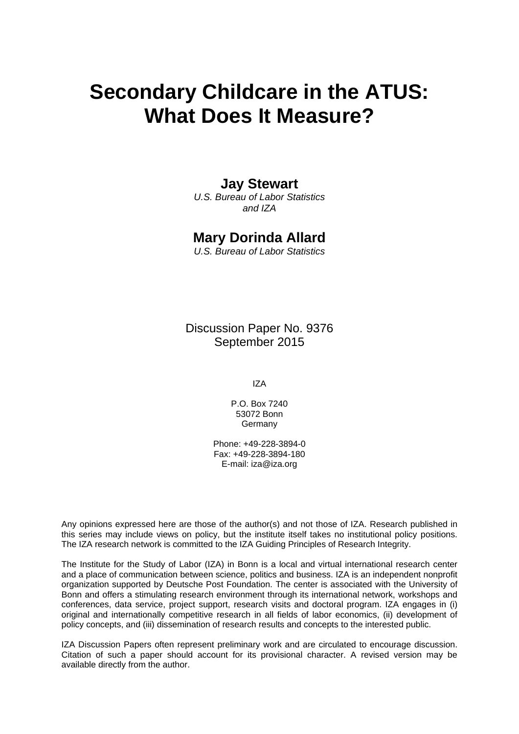# **Secondary Childcare in the ATUS: What Does It Measure?**

# **Jay Stewart**

*U.S. Bureau of Labor Statistics and IZA* 

# **Mary Dorinda Allard**

*U.S. Bureau of Labor Statistics* 

Discussion Paper No. 9376 September 2015

IZA

P.O. Box 7240 53072 Bonn **Germany** 

Phone: +49-228-3894-0 Fax: +49-228-3894-180 E-mail: iza@iza.org

Any opinions expressed here are those of the author(s) and not those of IZA. Research published in this series may include views on policy, but the institute itself takes no institutional policy positions. The IZA research network is committed to the IZA Guiding Principles of Research Integrity.

The Institute for the Study of Labor (IZA) in Bonn is a local and virtual international research center and a place of communication between science, politics and business. IZA is an independent nonprofit organization supported by Deutsche Post Foundation. The center is associated with the University of Bonn and offers a stimulating research environment through its international network, workshops and conferences, data service, project support, research visits and doctoral program. IZA engages in (i) original and internationally competitive research in all fields of labor economics, (ii) development of policy concepts, and (iii) dissemination of research results and concepts to the interested public.

IZA Discussion Papers often represent preliminary work and are circulated to encourage discussion. Citation of such a paper should account for its provisional character. A revised version may be available directly from the author.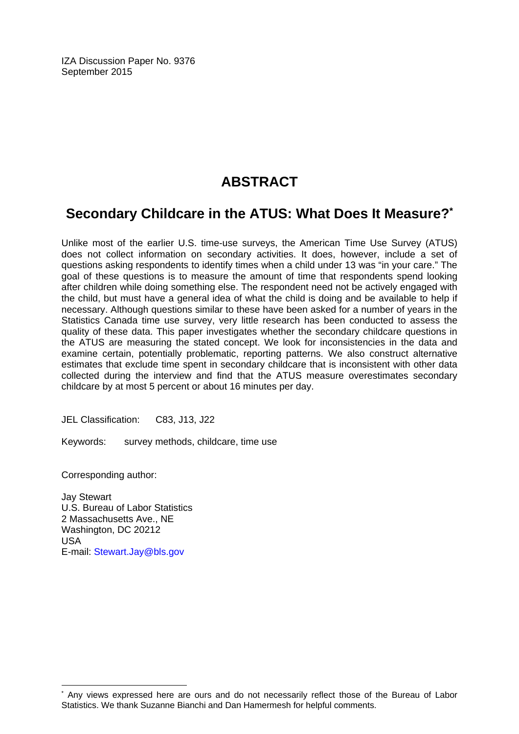IZA Discussion Paper No. 9376 September 2015

# **ABSTRACT**

# **Secondary Childcare in the ATUS: What Does It Measure?\***

Unlike most of the earlier U.S. time-use surveys, the American Time Use Survey (ATUS) does not collect information on secondary activities. It does, however, include a set of questions asking respondents to identify times when a child under 13 was "in your care." The goal of these questions is to measure the amount of time that respondents spend looking after children while doing something else. The respondent need not be actively engaged with the child, but must have a general idea of what the child is doing and be available to help if necessary. Although questions similar to these have been asked for a number of years in the Statistics Canada time use survey, very little research has been conducted to assess the quality of these data. This paper investigates whether the secondary childcare questions in the ATUS are measuring the stated concept. We look for inconsistencies in the data and examine certain, potentially problematic, reporting patterns. We also construct alternative estimates that exclude time spent in secondary childcare that is inconsistent with other data collected during the interview and find that the ATUS measure overestimates secondary childcare by at most 5 percent or about 16 minutes per day.

JEL Classification: C83, J13, J22

Keywords: survey methods, childcare, time use

Corresponding author:

 $\overline{a}$ 

Jay Stewart U.S. Bureau of Labor Statistics 2 Massachusetts Ave., NE Washington, DC 20212 USA E-mail: Stewart.Jay@bls.gov

<sup>\*</sup> Any views expressed here are ours and do not necessarily reflect those of the Bureau of Labor Statistics. We thank Suzanne Bianchi and Dan Hamermesh for helpful comments.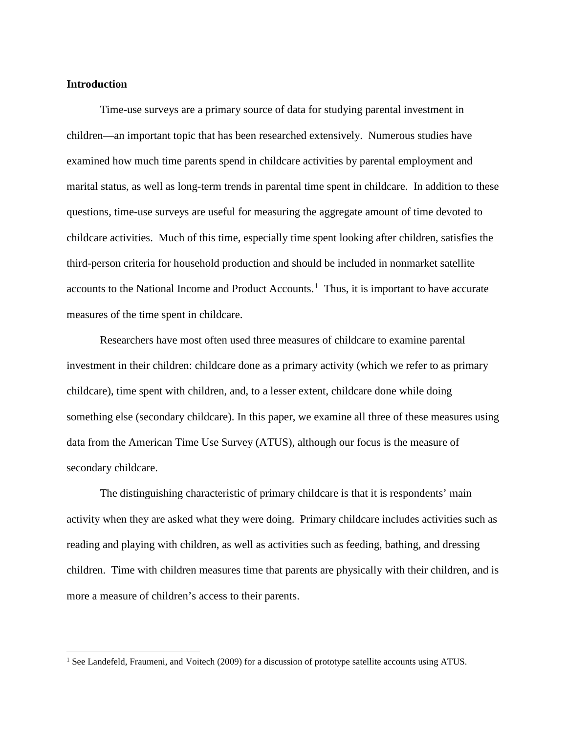#### **Introduction**

Time-use surveys are a primary source of data for studying parental investment in children—an important topic that has been researched extensively. Numerous studies have examined how much time parents spend in childcare activities by parental employment and marital status, as well as long-term trends in parental time spent in childcare. In addition to these questions, time-use surveys are useful for measuring the aggregate amount of time devoted to childcare activities. Much of this time, especially time spent looking after children, satisfies the third-person criteria for household production and should be included in nonmarket satellite accounts to the National Income and Product Accounts.<sup>[1](#page-3-0)</sup> Thus, it is important to have accurate measures of the time spent in childcare.

Researchers have most often used three measures of childcare to examine parental investment in their children: childcare done as a primary activity (which we refer to as primary childcare), time spent with children, and, to a lesser extent, childcare done while doing something else (secondary childcare). In this paper, we examine all three of these measures using data from the American Time Use Survey (ATUS), although our focus is the measure of secondary childcare.

The distinguishing characteristic of primary childcare is that it is respondents' main activity when they are asked what they were doing. Primary childcare includes activities such as reading and playing with children, as well as activities such as feeding, bathing, and dressing children. Time with children measures time that parents are physically with their children, and is more a measure of children's access to their parents.

<span id="page-3-0"></span><sup>&</sup>lt;sup>1</sup> See Landefeld, Fraumeni, and Voitech (2009) for a discussion of prototype satellite accounts using ATUS.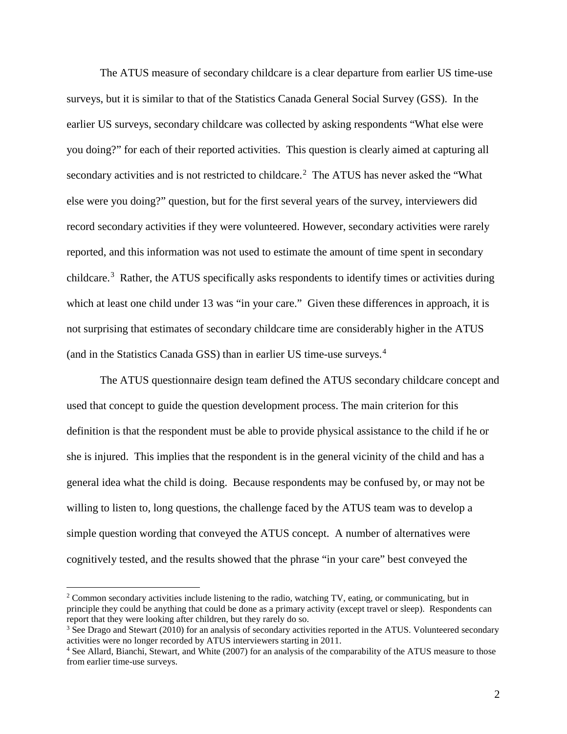The ATUS measure of secondary childcare is a clear departure from earlier US time-use surveys, but it is similar to that of the Statistics Canada General Social Survey (GSS). In the earlier US surveys, secondary childcare was collected by asking respondents "What else were you doing?" for each of their reported activities. This question is clearly aimed at capturing all secondary activities and is not restricted to childcare.<sup>[2](#page-4-0)</sup> The ATUS has never asked the "What else were you doing?" question, but for the first several years of the survey, interviewers did record secondary activities if they were volunteered. However, secondary activities were rarely reported, and this information was not used to estimate the amount of time spent in secondary childcare.<sup>[3](#page-4-1)</sup> Rather, the ATUS specifically asks respondents to identify times or activities during which at least one child under 13 was "in your care." Given these differences in approach, it is not surprising that estimates of secondary childcare time are considerably higher in the ATUS (and in the Statistics Canada GSS) than in earlier US time-use surveys.[4](#page-4-2)

The ATUS questionnaire design team defined the ATUS secondary childcare concept and used that concept to guide the question development process. The main criterion for this definition is that the respondent must be able to provide physical assistance to the child if he or she is injured. This implies that the respondent is in the general vicinity of the child and has a general idea what the child is doing. Because respondents may be confused by, or may not be willing to listen to, long questions, the challenge faced by the ATUS team was to develop a simple question wording that conveyed the ATUS concept. A number of alternatives were cognitively tested, and the results showed that the phrase "in your care" best conveyed the

<span id="page-4-0"></span><sup>&</sup>lt;sup>2</sup> Common secondary activities include listening to the radio, watching TV, eating, or communicating, but in principle they could be anything that could be done as a primary activity (except travel or sleep). Respondents can report that they were looking after children, but they rarely do so.

<span id="page-4-1"></span><sup>&</sup>lt;sup>3</sup> See Drago and Stewart (2010) for an analysis of secondary activities reported in the ATUS. Volunteered secondary activities were no longer recorded by ATUS interviewers starting in 2011.

<span id="page-4-2"></span><sup>4</sup> See Allard, Bianchi, Stewart, and White (2007) for an analysis of the comparability of the ATUS measure to those from earlier time-use surveys.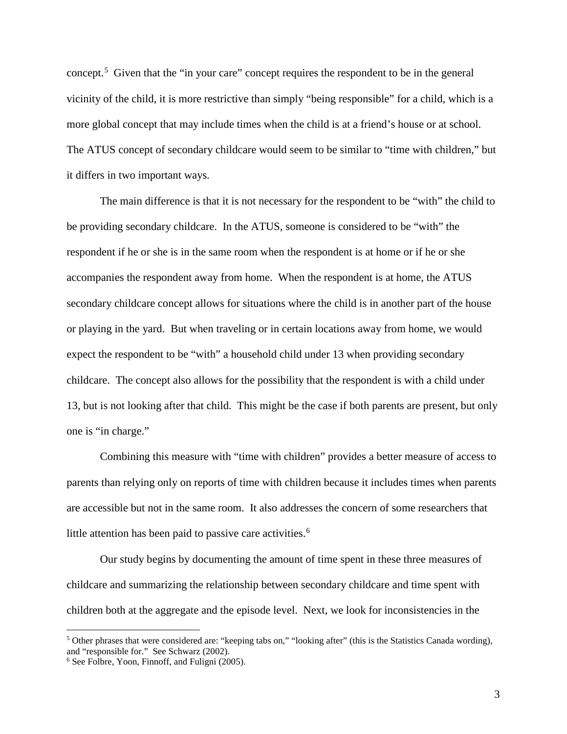concept.[5](#page-5-0) Given that the "in your care" concept requires the respondent to be in the general vicinity of the child, it is more restrictive than simply "being responsible" for a child, which is a more global concept that may include times when the child is at a friend's house or at school. The ATUS concept of secondary childcare would seem to be similar to "time with children," but it differs in two important ways.

The main difference is that it is not necessary for the respondent to be "with" the child to be providing secondary childcare. In the ATUS, someone is considered to be "with" the respondent if he or she is in the same room when the respondent is at home or if he or she accompanies the respondent away from home. When the respondent is at home, the ATUS secondary childcare concept allows for situations where the child is in another part of the house or playing in the yard. But when traveling or in certain locations away from home, we would expect the respondent to be "with" a household child under 13 when providing secondary childcare. The concept also allows for the possibility that the respondent is with a child under 13, but is not looking after that child. This might be the case if both parents are present, but only one is "in charge."

Combining this measure with "time with children" provides a better measure of access to parents than relying only on reports of time with children because it includes times when parents are accessible but not in the same room. It also addresses the concern of some researchers that little attention has been paid to passive care activities.<sup>[6](#page-5-1)</sup>

Our study begins by documenting the amount of time spent in these three measures of childcare and summarizing the relationship between secondary childcare and time spent with children both at the aggregate and the episode level. Next, we look for inconsistencies in the

<span id="page-5-0"></span> <sup>5</sup> Other phrases that were considered are: "keeping tabs on," "looking after" (this is the Statistics Canada wording), and "responsible for." See Schwarz (2002).

<span id="page-5-1"></span><sup>6</sup> See Folbre, Yoon, Finnoff, and Fuligni (2005).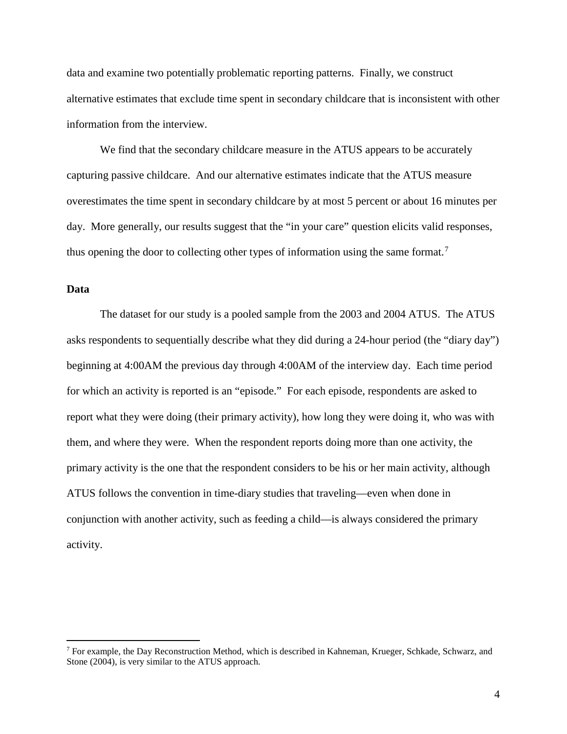data and examine two potentially problematic reporting patterns. Finally, we construct alternative estimates that exclude time spent in secondary childcare that is inconsistent with other information from the interview.

We find that the secondary childcare measure in the ATUS appears to be accurately capturing passive childcare. And our alternative estimates indicate that the ATUS measure overestimates the time spent in secondary childcare by at most 5 percent or about 16 minutes per day. More generally, our results suggest that the "in your care" question elicits valid responses, thus opening the door to collecting other types of information using the same format.<sup>[7](#page-6-0)</sup>

#### **Data**

The dataset for our study is a pooled sample from the 2003 and 2004 ATUS. The ATUS asks respondents to sequentially describe what they did during a 24-hour period (the "diary day") beginning at 4:00AM the previous day through 4:00AM of the interview day. Each time period for which an activity is reported is an "episode." For each episode, respondents are asked to report what they were doing (their primary activity), how long they were doing it, who was with them, and where they were. When the respondent reports doing more than one activity, the primary activity is the one that the respondent considers to be his or her main activity, although ATUS follows the convention in time-diary studies that traveling—even when done in conjunction with another activity, such as feeding a child—is always considered the primary activity.

<span id="page-6-0"></span><sup>&</sup>lt;sup>7</sup> For example, the Day Reconstruction Method, which is described in Kahneman, Krueger, Schkade, Schwarz, and Stone (2004), is very similar to the ATUS approach.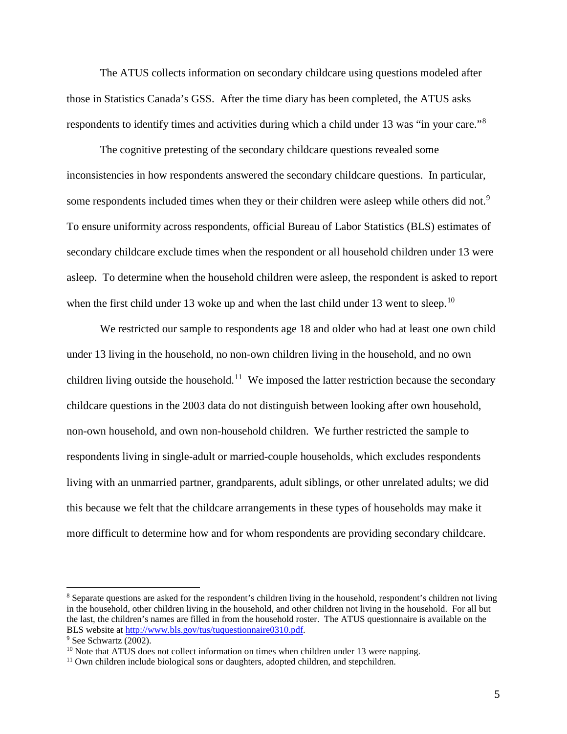The ATUS collects information on secondary childcare using questions modeled after those in Statistics Canada's GSS. After the time diary has been completed, the ATUS asks respondents to identify times and activities during which a child under 13 was "in your care."<sup>[8](#page-7-0)</sup>

The cognitive pretesting of the secondary childcare questions revealed some inconsistencies in how respondents answered the secondary childcare questions. In particular, some respondents included times when they or their children were asleep while others did not.<sup>[9](#page-7-1)</sup> To ensure uniformity across respondents, official Bureau of Labor Statistics (BLS) estimates of secondary childcare exclude times when the respondent or all household children under 13 were asleep. To determine when the household children were asleep, the respondent is asked to report when the first child under 13 woke up and when the last child under 13 went to sleep.<sup>[10](#page-7-2)</sup>

We restricted our sample to respondents age 18 and older who had at least one own child under 13 living in the household, no non-own children living in the household, and no own children living outside the household.<sup>11</sup> We imposed the latter restriction because the secondary childcare questions in the 2003 data do not distinguish between looking after own household, non-own household, and own non-household children. We further restricted the sample to respondents living in single-adult or married-couple households, which excludes respondents living with an unmarried partner, grandparents, adult siblings, or other unrelated adults; we did this because we felt that the childcare arrangements in these types of households may make it more difficult to determine how and for whom respondents are providing secondary childcare.

<span id="page-7-0"></span> <sup>8</sup> Separate questions are asked for the respondent's children living in the household, respondent's children not living in the household, other children living in the household, and other children not living in the household. For all but the last, the children's names are filled in from the household roster. The ATUS questionnaire is available on the BLS website at [http://www.bls.gov/tus/tuquestionnaire0310.pdf.](http://www.bls.gov/tus/tuquestionnaire0310.pdf)

<span id="page-7-1"></span><sup>&</sup>lt;sup>9</sup> See Schwartz (2002).

<span id="page-7-2"></span> $10$  Note that ATUS does not collect information on times when children under 13 were napping.

<span id="page-7-3"></span><sup>&</sup>lt;sup>11</sup> Own children include biological sons or daughters, adopted children, and stepchildren.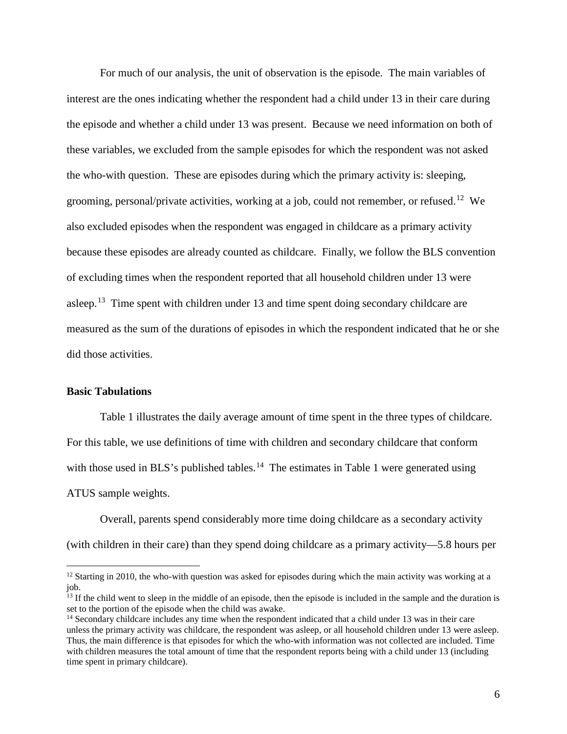For much of our analysis, the unit of observation is the episode. The main variables of interest are the ones indicating whether the respondent had a child under 13 in their care during the episode and whether a child under 13 was present. Because we need information on both of these variables, we excluded from the sample episodes for which the respondent was not asked the who-with question. These are episodes during which the primary activity is: sleeping, grooming, personal/private activities, working at a job, could not remember, or refused.<sup>[12](#page-8-0)</sup> We also excluded episodes when the respondent was engaged in childcare as a primary activity because these episodes are already counted as childcare. Finally, we follow the BLS convention of excluding times when the respondent reported that all household children under 13 were asleep.<sup>13</sup> Time spent with children under [13](#page-8-1) and time spent doing secondary childcare are measured as the sum of the durations of episodes in which the respondent indicated that he or she did those activities.

#### **Basic Tabulations**

Table 1 illustrates the daily average amount of time spent in the three types of childcare.

For this table, we use definitions of time with children and secondary childcare that conform with those used in BLS's published tables.<sup>[14](#page-8-2)</sup> The estimates in Table 1 were generated using ATUS sample weights.

Overall, parents spend considerably more time doing childcare as a secondary activity (with children in their care) than they spend doing childcare as a primary activity—5.8 hours per

<span id="page-8-0"></span> $12$  Starting in 2010, the who-with question was asked for episodes during which the main activity was working at a job.

<span id="page-8-1"></span><sup>&</sup>lt;sup>13</sup> If the child went to sleep in the middle of an episode, then the episode is included in the sample and the duration is set to the portion of the episode when the child was awake.

<span id="page-8-2"></span><sup>&</sup>lt;sup>14</sup> Secondary childcare includes any time when the respondent indicated that a child under 13 was in their care unless the primary activity was childcare, the respondent was asleep, or all household children under 13 were asleep. Thus, the main difference is that episodes for which the who-with information was not collected are included. Time with children measures the total amount of time that the respondent reports being with a child under 13 (including time spent in primary childcare).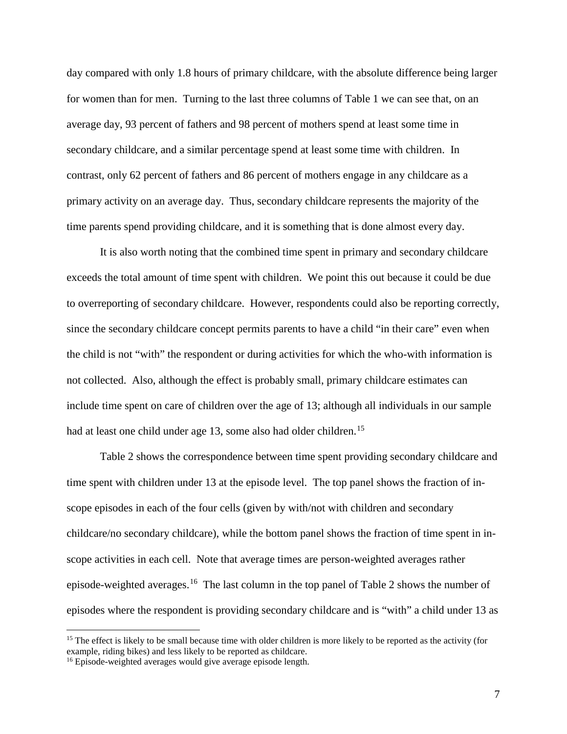day compared with only 1.8 hours of primary childcare, with the absolute difference being larger for women than for men. Turning to the last three columns of Table 1 we can see that, on an average day, 93 percent of fathers and 98 percent of mothers spend at least some time in secondary childcare, and a similar percentage spend at least some time with children. In contrast, only 62 percent of fathers and 86 percent of mothers engage in any childcare as a primary activity on an average day. Thus, secondary childcare represents the majority of the time parents spend providing childcare, and it is something that is done almost every day.

It is also worth noting that the combined time spent in primary and secondary childcare exceeds the total amount of time spent with children. We point this out because it could be due to overreporting of secondary childcare. However, respondents could also be reporting correctly, since the secondary childcare concept permits parents to have a child "in their care" even when the child is not "with" the respondent or during activities for which the who-with information is not collected. Also, although the effect is probably small, primary childcare estimates can include time spent on care of children over the age of 13; although all individuals in our sample had at least one child under age 13, some also had older children.<sup>[15](#page-9-0)</sup>

Table 2 shows the correspondence between time spent providing secondary childcare and time spent with children under 13 at the episode level. The top panel shows the fraction of inscope episodes in each of the four cells (given by with/not with children and secondary childcare/no secondary childcare), while the bottom panel shows the fraction of time spent in inscope activities in each cell. Note that average times are person-weighted averages rather episode-weighted averages.[16](#page-9-1) The last column in the top panel of Table 2 shows the number of episodes where the respondent is providing secondary childcare and is "with" a child under 13 as

<span id="page-9-0"></span><sup>&</sup>lt;sup>15</sup> The effect is likely to be small because time with older children is more likely to be reported as the activity (for example, riding bikes) and less likely to be reported as childcare.

<span id="page-9-1"></span><sup>&</sup>lt;sup>16</sup> Episode-weighted averages would give average episode length.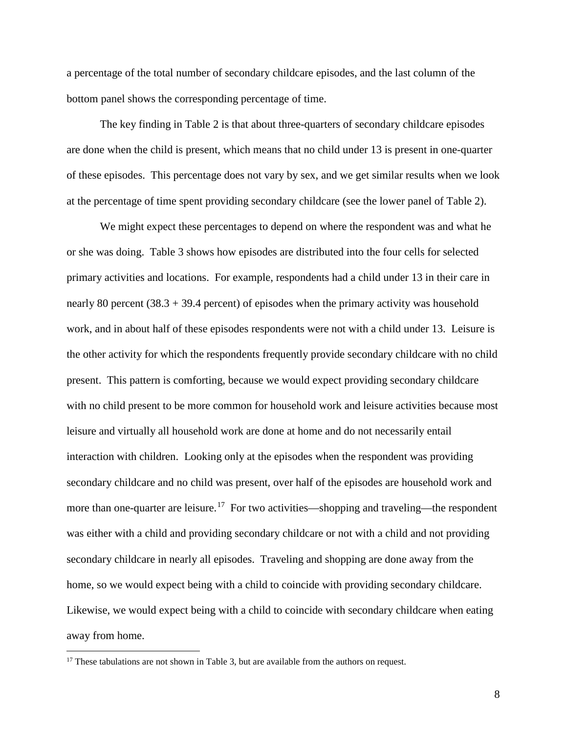a percentage of the total number of secondary childcare episodes, and the last column of the bottom panel shows the corresponding percentage of time.

The key finding in Table 2 is that about three-quarters of secondary childcare episodes are done when the child is present, which means that no child under 13 is present in one-quarter of these episodes. This percentage does not vary by sex, and we get similar results when we look at the percentage of time spent providing secondary childcare (see the lower panel of Table 2).

We might expect these percentages to depend on where the respondent was and what he or she was doing. Table 3 shows how episodes are distributed into the four cells for selected primary activities and locations. For example, respondents had a child under 13 in their care in nearly 80 percent  $(38.3 + 39.4$  percent) of episodes when the primary activity was household work, and in about half of these episodes respondents were not with a child under 13. Leisure is the other activity for which the respondents frequently provide secondary childcare with no child present. This pattern is comforting, because we would expect providing secondary childcare with no child present to be more common for household work and leisure activities because most leisure and virtually all household work are done at home and do not necessarily entail interaction with children. Looking only at the episodes when the respondent was providing secondary childcare and no child was present, over half of the episodes are household work and more than one-quarter are leisure.<sup>17</sup> For two activities—shopping and traveling—the respondent was either with a child and providing secondary childcare or not with a child and not providing secondary childcare in nearly all episodes. Traveling and shopping are done away from the home, so we would expect being with a child to coincide with providing secondary childcare. Likewise, we would expect being with a child to coincide with secondary childcare when eating away from home.

<span id="page-10-0"></span> $17$  These tabulations are not shown in Table 3, but are available from the authors on request.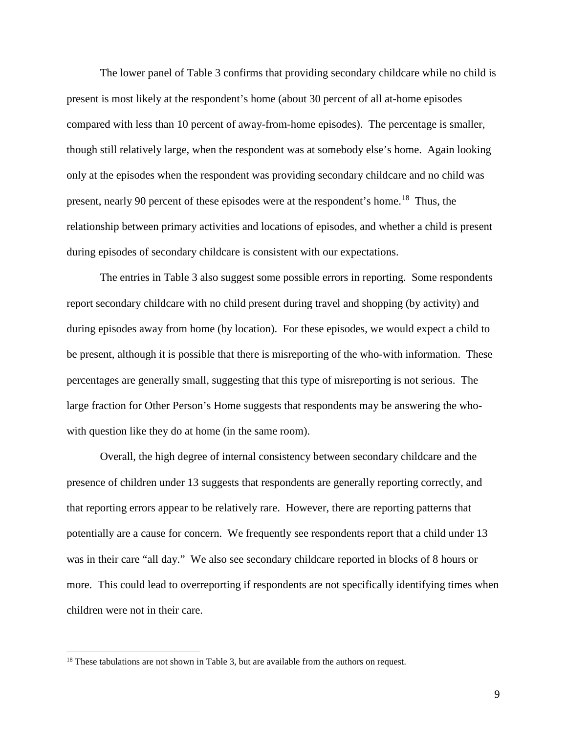The lower panel of Table 3 confirms that providing secondary childcare while no child is present is most likely at the respondent's home (about 30 percent of all at-home episodes compared with less than 10 percent of away-from-home episodes). The percentage is smaller, though still relatively large, when the respondent was at somebody else's home. Again looking only at the episodes when the respondent was providing secondary childcare and no child was present, nearly 90 percent of these episodes were at the respondent's home.<sup>[18](#page-11-0)</sup> Thus, the relationship between primary activities and locations of episodes, and whether a child is present during episodes of secondary childcare is consistent with our expectations.

The entries in Table 3 also suggest some possible errors in reporting. Some respondents report secondary childcare with no child present during travel and shopping (by activity) and during episodes away from home (by location). For these episodes, we would expect a child to be present, although it is possible that there is misreporting of the who-with information. These percentages are generally small, suggesting that this type of misreporting is not serious. The large fraction for Other Person's Home suggests that respondents may be answering the whowith question like they do at home (in the same room).

Overall, the high degree of internal consistency between secondary childcare and the presence of children under 13 suggests that respondents are generally reporting correctly, and that reporting errors appear to be relatively rare. However, there are reporting patterns that potentially are a cause for concern. We frequently see respondents report that a child under 13 was in their care "all day." We also see secondary childcare reported in blocks of 8 hours or more. This could lead to overreporting if respondents are not specifically identifying times when children were not in their care.

<span id="page-11-0"></span><sup>&</sup>lt;sup>18</sup> These tabulations are not shown in Table 3, but are available from the authors on request.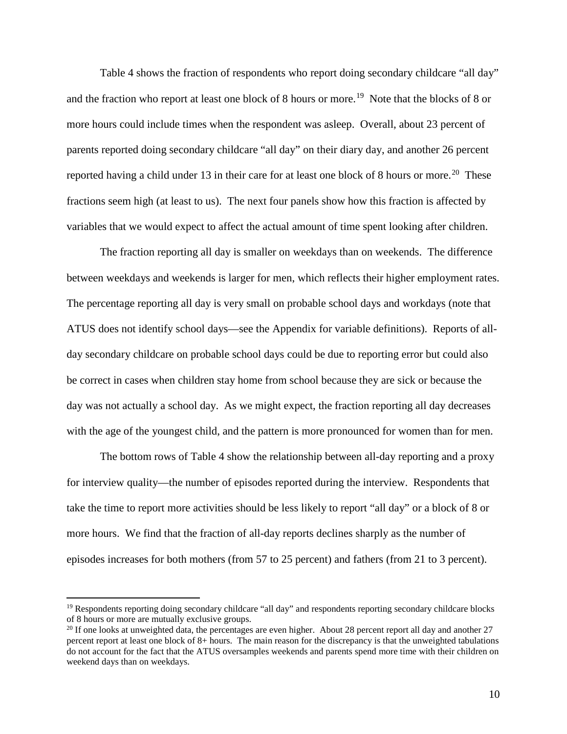Table 4 shows the fraction of respondents who report doing secondary childcare "all day" and the fraction who report at least one block of 8 hours or more.<sup>[19](#page-12-0)</sup> Note that the blocks of 8 or more hours could include times when the respondent was asleep. Overall, about 23 percent of parents reported doing secondary childcare "all day" on their diary day, and another 26 percent reported having a child under 13 in their care for at least one block of 8 hours or more.<sup>[20](#page-12-1)</sup> These fractions seem high (at least to us). The next four panels show how this fraction is affected by variables that we would expect to affect the actual amount of time spent looking after children.

The fraction reporting all day is smaller on weekdays than on weekends. The difference between weekdays and weekends is larger for men, which reflects their higher employment rates. The percentage reporting all day is very small on probable school days and workdays (note that ATUS does not identify school days—see the Appendix for variable definitions). Reports of allday secondary childcare on probable school days could be due to reporting error but could also be correct in cases when children stay home from school because they are sick or because the day was not actually a school day. As we might expect, the fraction reporting all day decreases with the age of the youngest child, and the pattern is more pronounced for women than for men.

The bottom rows of Table 4 show the relationship between all-day reporting and a proxy for interview quality—the number of episodes reported during the interview. Respondents that take the time to report more activities should be less likely to report "all day" or a block of 8 or more hours. We find that the fraction of all-day reports declines sharply as the number of episodes increases for both mothers (from 57 to 25 percent) and fathers (from 21 to 3 percent).

<span id="page-12-0"></span><sup>&</sup>lt;sup>19</sup> Respondents reporting doing secondary childcare "all day" and respondents reporting secondary childcare blocks of 8 hours or more are mutually exclusive groups.

<span id="page-12-1"></span> $20$  If one looks at unweighted data, the percentages are even higher. About 28 percent report all day and another  $27$ percent report at least one block of 8+ hours. The main reason for the discrepancy is that the unweighted tabulations do not account for the fact that the ATUS oversamples weekends and parents spend more time with their children on weekend days than on weekdays.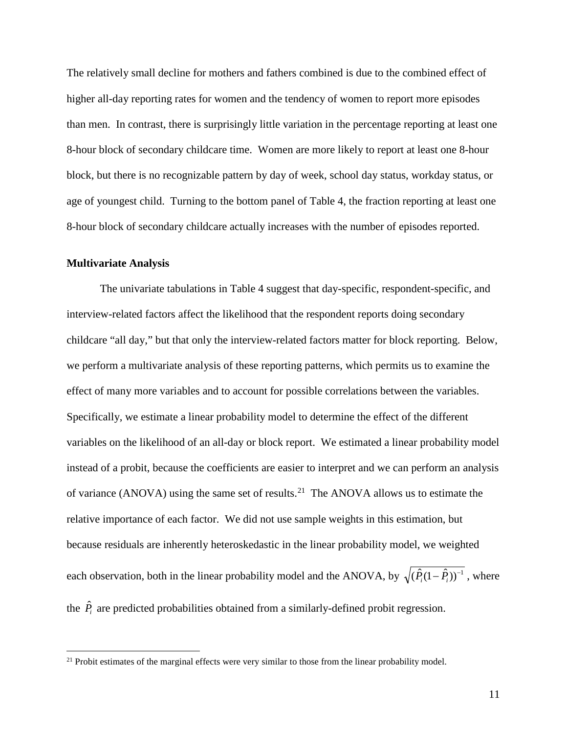The relatively small decline for mothers and fathers combined is due to the combined effect of higher all-day reporting rates for women and the tendency of women to report more episodes than men. In contrast, there is surprisingly little variation in the percentage reporting at least one 8-hour block of secondary childcare time. Women are more likely to report at least one 8-hour block, but there is no recognizable pattern by day of week, school day status, workday status, or age of youngest child. Turning to the bottom panel of Table 4, the fraction reporting at least one 8-hour block of secondary childcare actually increases with the number of episodes reported.

#### **Multivariate Analysis**

The univariate tabulations in Table 4 suggest that day-specific, respondent-specific, and interview-related factors affect the likelihood that the respondent reports doing secondary childcare "all day," but that only the interview-related factors matter for block reporting. Below, we perform a multivariate analysis of these reporting patterns, which permits us to examine the effect of many more variables and to account for possible correlations between the variables. Specifically, we estimate a linear probability model to determine the effect of the different variables on the likelihood of an all-day or block report. We estimated a linear probability model instead of a probit, because the coefficients are easier to interpret and we can perform an analysis of variance (ANOVA) using the same set of results.[21](#page-13-0) The ANOVA allows us to estimate the relative importance of each factor. We did not use sample weights in this estimation, but because residuals are inherently heteroskedastic in the linear probability model, we weighted each observation, both in the linear probability model and the ANOVA, by  $\sqrt{(\hat{P}_i(1-\hat{P}_i))^{-1}}$ , where the  $\hat{P}_i$  are predicted probabilities obtained from a similarly-defined probit regression.

<span id="page-13-0"></span><sup>&</sup>lt;sup>21</sup> Probit estimates of the marginal effects were very similar to those from the linear probability model.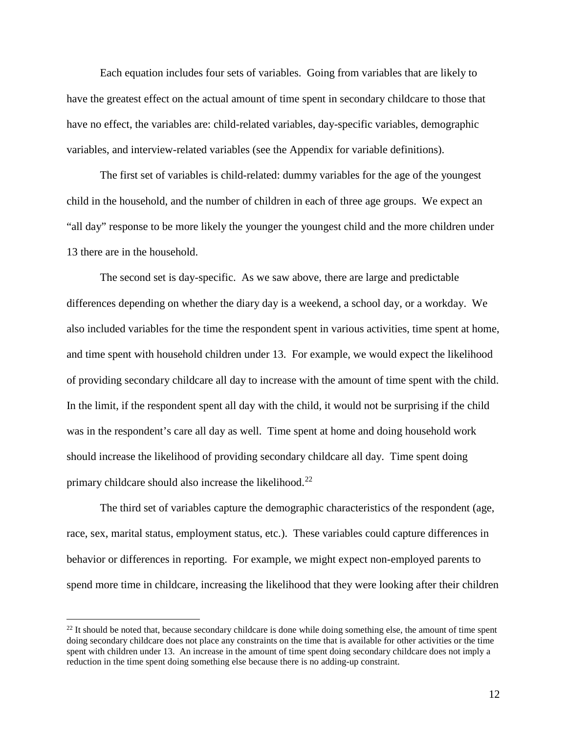Each equation includes four sets of variables. Going from variables that are likely to have the greatest effect on the actual amount of time spent in secondary childcare to those that have no effect, the variables are: child-related variables, day-specific variables, demographic variables, and interview-related variables (see the Appendix for variable definitions).

The first set of variables is child-related: dummy variables for the age of the youngest child in the household, and the number of children in each of three age groups. We expect an "all day" response to be more likely the younger the youngest child and the more children under 13 there are in the household.

The second set is day-specific. As we saw above, there are large and predictable differences depending on whether the diary day is a weekend, a school day, or a workday. We also included variables for the time the respondent spent in various activities, time spent at home, and time spent with household children under 13. For example, we would expect the likelihood of providing secondary childcare all day to increase with the amount of time spent with the child. In the limit, if the respondent spent all day with the child, it would not be surprising if the child was in the respondent's care all day as well. Time spent at home and doing household work should increase the likelihood of providing secondary childcare all day. Time spent doing primary childcare should also increase the likelihood.<sup>22</sup>

The third set of variables capture the demographic characteristics of the respondent (age, race, sex, marital status, employment status, etc.). These variables could capture differences in behavior or differences in reporting. For example, we might expect non-employed parents to spend more time in childcare, increasing the likelihood that they were looking after their children

<span id="page-14-0"></span> $22$  It should be noted that, because secondary childcare is done while doing something else, the amount of time spent doing secondary childcare does not place any constraints on the time that is available for other activities or the time spent with children under 13. An increase in the amount of time spent doing secondary childcare does not imply a reduction in the time spent doing something else because there is no adding-up constraint.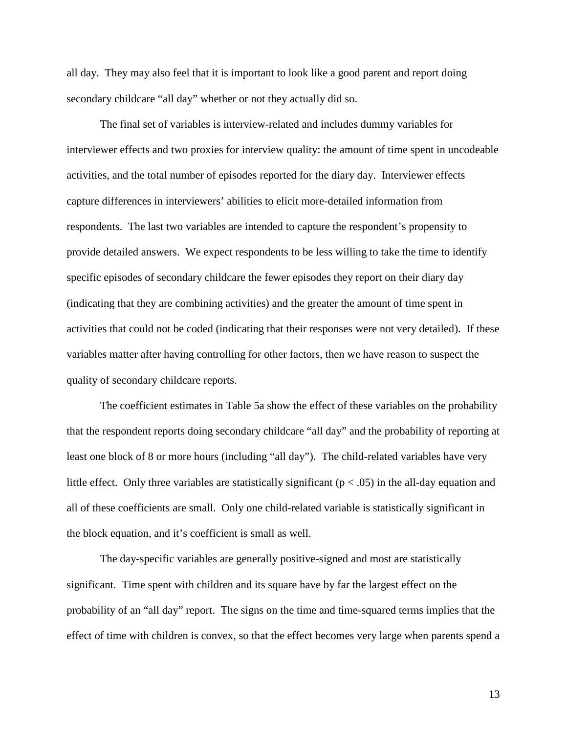all day. They may also feel that it is important to look like a good parent and report doing secondary childcare "all day" whether or not they actually did so.

The final set of variables is interview-related and includes dummy variables for interviewer effects and two proxies for interview quality: the amount of time spent in uncodeable activities, and the total number of episodes reported for the diary day. Interviewer effects capture differences in interviewers' abilities to elicit more-detailed information from respondents. The last two variables are intended to capture the respondent's propensity to provide detailed answers. We expect respondents to be less willing to take the time to identify specific episodes of secondary childcare the fewer episodes they report on their diary day (indicating that they are combining activities) and the greater the amount of time spent in activities that could not be coded (indicating that their responses were not very detailed). If these variables matter after having controlling for other factors, then we have reason to suspect the quality of secondary childcare reports.

The coefficient estimates in Table 5a show the effect of these variables on the probability that the respondent reports doing secondary childcare "all day" and the probability of reporting at least one block of 8 or more hours (including "all day"). The child-related variables have very little effect. Only three variables are statistically significant ( $p < .05$ ) in the all-day equation and all of these coefficients are small. Only one child-related variable is statistically significant in the block equation, and it's coefficient is small as well.

The day-specific variables are generally positive-signed and most are statistically significant. Time spent with children and its square have by far the largest effect on the probability of an "all day" report. The signs on the time and time-squared terms implies that the effect of time with children is convex, so that the effect becomes very large when parents spend a

13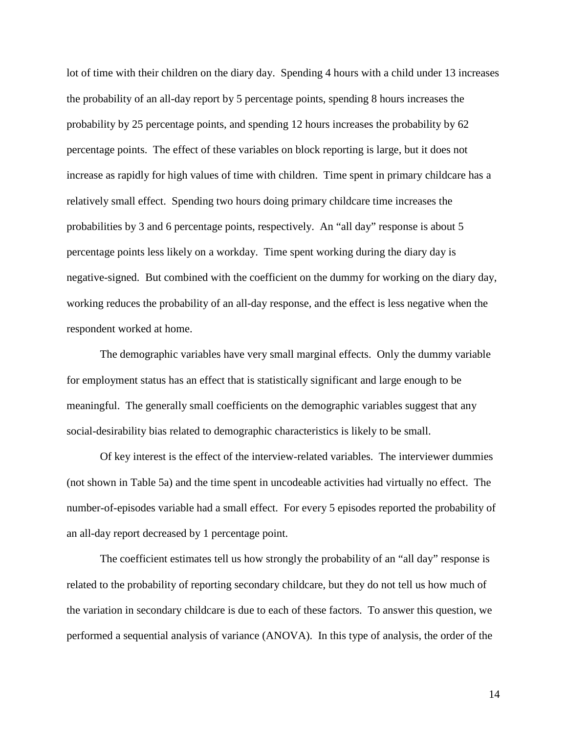lot of time with their children on the diary day. Spending 4 hours with a child under 13 increases the probability of an all-day report by 5 percentage points, spending 8 hours increases the probability by 25 percentage points, and spending 12 hours increases the probability by 62 percentage points. The effect of these variables on block reporting is large, but it does not increase as rapidly for high values of time with children. Time spent in primary childcare has a relatively small effect. Spending two hours doing primary childcare time increases the probabilities by 3 and 6 percentage points, respectively. An "all day" response is about 5 percentage points less likely on a workday. Time spent working during the diary day is negative-signed. But combined with the coefficient on the dummy for working on the diary day, working reduces the probability of an all-day response, and the effect is less negative when the respondent worked at home.

The demographic variables have very small marginal effects. Only the dummy variable for employment status has an effect that is statistically significant and large enough to be meaningful. The generally small coefficients on the demographic variables suggest that any social-desirability bias related to demographic characteristics is likely to be small.

Of key interest is the effect of the interview-related variables. The interviewer dummies (not shown in Table 5a) and the time spent in uncodeable activities had virtually no effect. The number-of-episodes variable had a small effect. For every 5 episodes reported the probability of an all-day report decreased by 1 percentage point.

The coefficient estimates tell us how strongly the probability of an "all day" response is related to the probability of reporting secondary childcare, but they do not tell us how much of the variation in secondary childcare is due to each of these factors. To answer this question, we performed a sequential analysis of variance (ANOVA). In this type of analysis, the order of the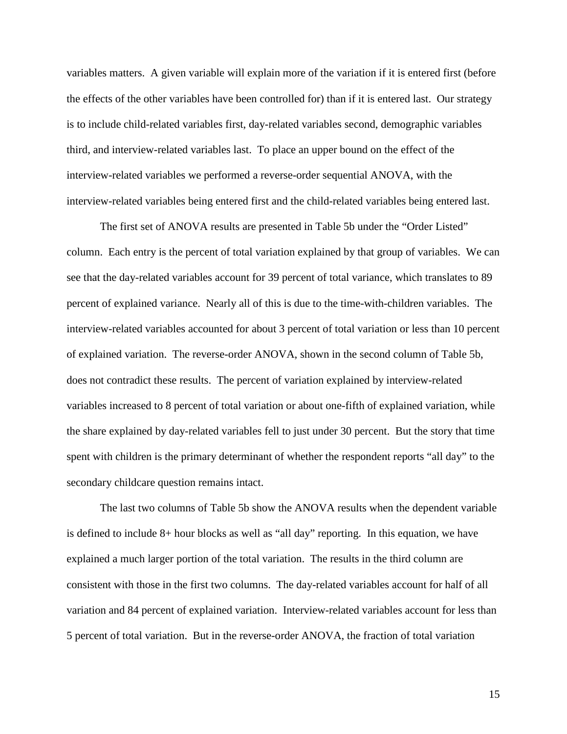variables matters. A given variable will explain more of the variation if it is entered first (before the effects of the other variables have been controlled for) than if it is entered last. Our strategy is to include child-related variables first, day-related variables second, demographic variables third, and interview-related variables last. To place an upper bound on the effect of the interview-related variables we performed a reverse-order sequential ANOVA, with the interview-related variables being entered first and the child-related variables being entered last.

The first set of ANOVA results are presented in Table 5b under the "Order Listed" column. Each entry is the percent of total variation explained by that group of variables. We can see that the day-related variables account for 39 percent of total variance, which translates to 89 percent of explained variance. Nearly all of this is due to the time-with-children variables. The interview-related variables accounted for about 3 percent of total variation or less than 10 percent of explained variation. The reverse-order ANOVA, shown in the second column of Table 5b, does not contradict these results. The percent of variation explained by interview-related variables increased to 8 percent of total variation or about one-fifth of explained variation, while the share explained by day-related variables fell to just under 30 percent. But the story that time spent with children is the primary determinant of whether the respondent reports "all day" to the secondary childcare question remains intact.

The last two columns of Table 5b show the ANOVA results when the dependent variable is defined to include 8+ hour blocks as well as "all day" reporting. In this equation, we have explained a much larger portion of the total variation. The results in the third column are consistent with those in the first two columns. The day-related variables account for half of all variation and 84 percent of explained variation. Interview-related variables account for less than 5 percent of total variation. But in the reverse-order ANOVA, the fraction of total variation

15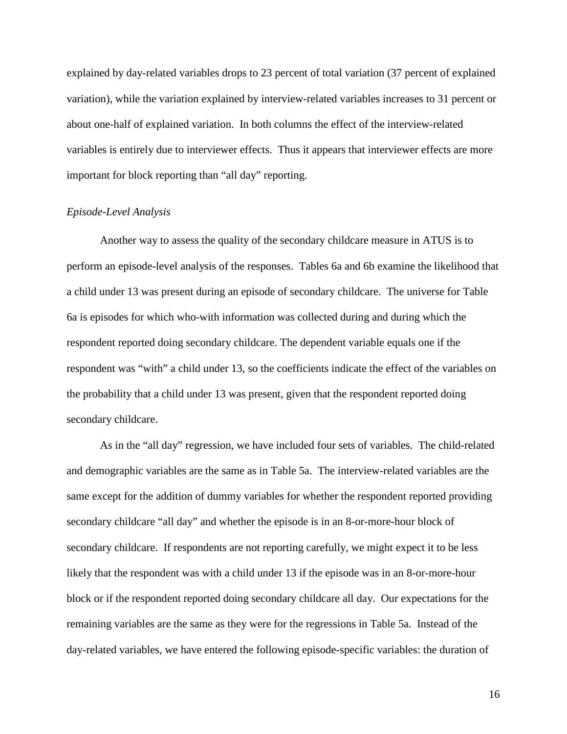explained by day-related variables drops to 23 percent of total variation (37 percent of explained variation), while the variation explained by interview-related variables increases to 31 percent or about one-half of explained variation. In both columns the effect of the interview-related variables is entirely due to interviewer effects. Thus it appears that interviewer effects are more important for block reporting than "all day" reporting.

#### *Episode-Level Analysis*

Another way to assess the quality of the secondary childcare measure in ATUS is to perform an episode-level analysis of the responses. Tables 6a and 6b examine the likelihood that a child under 13 was present during an episode of secondary childcare. The universe for Table 6a is episodes for which who-with information was collected during and during which the respondent reported doing secondary childcare. The dependent variable equals one if the respondent was "with" a child under 13, so the coefficients indicate the effect of the variables on the probability that a child under 13 was present, given that the respondent reported doing secondary childcare.

As in the "all day" regression, we have included four sets of variables. The child-related and demographic variables are the same as in Table 5a. The interview-related variables are the same except for the addition of dummy variables for whether the respondent reported providing secondary childcare "all day" and whether the episode is in an 8-or-more-hour block of secondary childcare. If respondents are not reporting carefully, we might expect it to be less likely that the respondent was with a child under 13 if the episode was in an 8-or-more-hour block or if the respondent reported doing secondary childcare all day. Our expectations for the remaining variables are the same as they were for the regressions in Table 5a. Instead of the day-related variables, we have entered the following episode-specific variables: the duration of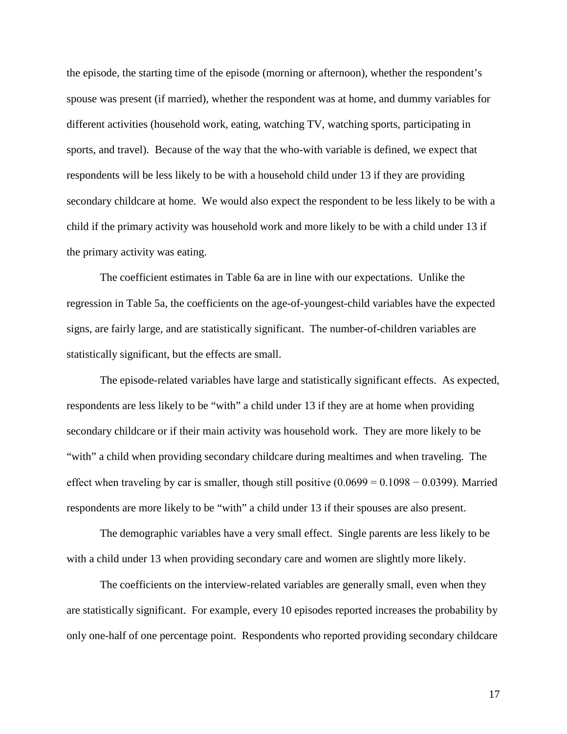the episode, the starting time of the episode (morning or afternoon), whether the respondent's spouse was present (if married), whether the respondent was at home, and dummy variables for different activities (household work, eating, watching TV, watching sports, participating in sports, and travel). Because of the way that the who-with variable is defined, we expect that respondents will be less likely to be with a household child under 13 if they are providing secondary childcare at home. We would also expect the respondent to be less likely to be with a child if the primary activity was household work and more likely to be with a child under 13 if the primary activity was eating.

The coefficient estimates in Table 6a are in line with our expectations. Unlike the regression in Table 5a, the coefficients on the age-of-youngest-child variables have the expected signs, are fairly large, and are statistically significant. The number-of-children variables are statistically significant, but the effects are small.

The episode-related variables have large and statistically significant effects. As expected, respondents are less likely to be "with" a child under 13 if they are at home when providing secondary childcare or if their main activity was household work. They are more likely to be "with" a child when providing secondary childcare during mealtimes and when traveling. The effect when traveling by car is smaller, though still positive  $(0.0699 = 0.1098 - 0.0399)$ . Married respondents are more likely to be "with" a child under 13 if their spouses are also present.

The demographic variables have a very small effect. Single parents are less likely to be with a child under 13 when providing secondary care and women are slightly more likely.

The coefficients on the interview-related variables are generally small, even when they are statistically significant. For example, every 10 episodes reported increases the probability by only one-half of one percentage point. Respondents who reported providing secondary childcare

17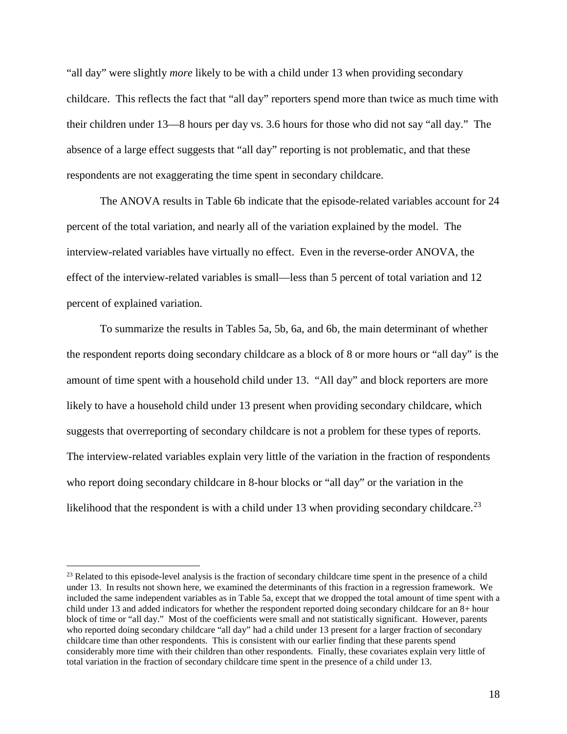"all day" were slightly *more* likely to be with a child under 13 when providing secondary childcare. This reflects the fact that "all day" reporters spend more than twice as much time with their children under 13—8 hours per day vs. 3.6 hours for those who did not say "all day." The absence of a large effect suggests that "all day" reporting is not problematic, and that these respondents are not exaggerating the time spent in secondary childcare.

The ANOVA results in Table 6b indicate that the episode-related variables account for 24 percent of the total variation, and nearly all of the variation explained by the model. The interview-related variables have virtually no effect. Even in the reverse-order ANOVA, the effect of the interview-related variables is small—less than 5 percent of total variation and 12 percent of explained variation.

To summarize the results in Tables 5a, 5b, 6a, and 6b, the main determinant of whether the respondent reports doing secondary childcare as a block of 8 or more hours or "all day" is the amount of time spent with a household child under 13. "All day" and block reporters are more likely to have a household child under 13 present when providing secondary childcare, which suggests that overreporting of secondary childcare is not a problem for these types of reports. The interview-related variables explain very little of the variation in the fraction of respondents who report doing secondary childcare in 8-hour blocks or "all day" or the variation in the likelihood that the respondent is with a child under 13 when providing secondary childcare.<sup>23</sup>

<span id="page-20-0"></span><sup>&</sup>lt;sup>23</sup> Related to this episode-level analysis is the fraction of secondary childcare time spent in the presence of a child under 13. In results not shown here, we examined the determinants of this fraction in a regression framework. We included the same independent variables as in Table 5a, except that we dropped the total amount of time spent with a child under 13 and added indicators for whether the respondent reported doing secondary childcare for an 8+ hour block of time or "all day." Most of the coefficients were small and not statistically significant. However, parents who reported doing secondary childcare "all day" had a child under 13 present for a larger fraction of secondary childcare time than other respondents. This is consistent with our earlier finding that these parents spend considerably more time with their children than other respondents. Finally, these covariates explain very little of total variation in the fraction of secondary childcare time spent in the presence of a child under 13.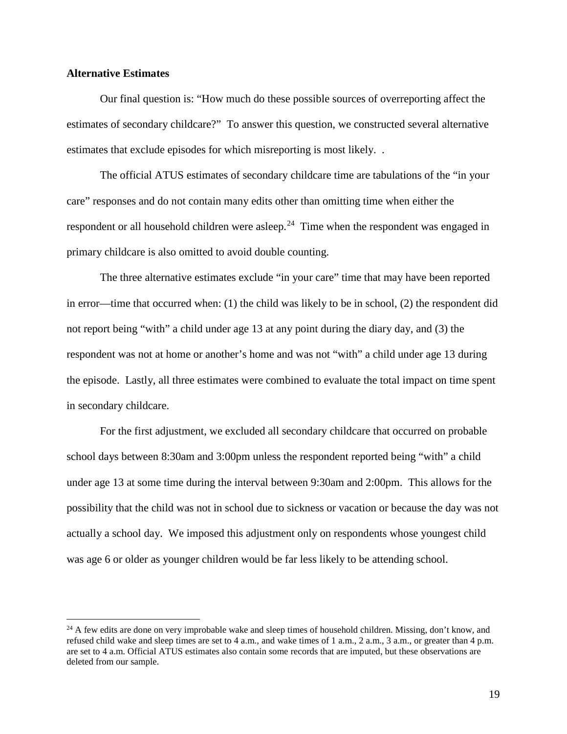#### **Alternative Estimates**

Our final question is: "How much do these possible sources of overreporting affect the estimates of secondary childcare?" To answer this question, we constructed several alternative estimates that exclude episodes for which misreporting is most likely. .

The official ATUS estimates of secondary childcare time are tabulations of the "in your care" responses and do not contain many edits other than omitting time when either the respondent or all household children were asleep.<sup>[24](#page-21-0)</sup> Time when the respondent was engaged in primary childcare is also omitted to avoid double counting.

The three alternative estimates exclude "in your care" time that may have been reported in error—time that occurred when: (1) the child was likely to be in school, (2) the respondent did not report being "with" a child under age 13 at any point during the diary day, and (3) the respondent was not at home or another's home and was not "with" a child under age 13 during the episode. Lastly, all three estimates were combined to evaluate the total impact on time spent in secondary childcare.

For the first adjustment, we excluded all secondary childcare that occurred on probable school days between 8:30am and 3:00pm unless the respondent reported being "with" a child under age 13 at some time during the interval between 9:30am and 2:00pm. This allows for the possibility that the child was not in school due to sickness or vacation or because the day was not actually a school day. We imposed this adjustment only on respondents whose youngest child was age 6 or older as younger children would be far less likely to be attending school.

<span id="page-21-0"></span> $24$  A few edits are done on very improbable wake and sleep times of household children. Missing, don't know, and refused child wake and sleep times are set to 4 a.m., and wake times of 1 a.m., 2 a.m., 3 a.m., or greater than 4 p.m. are set to 4 a.m. Official ATUS estimates also contain some records that are imputed, but these observations are deleted from our sample.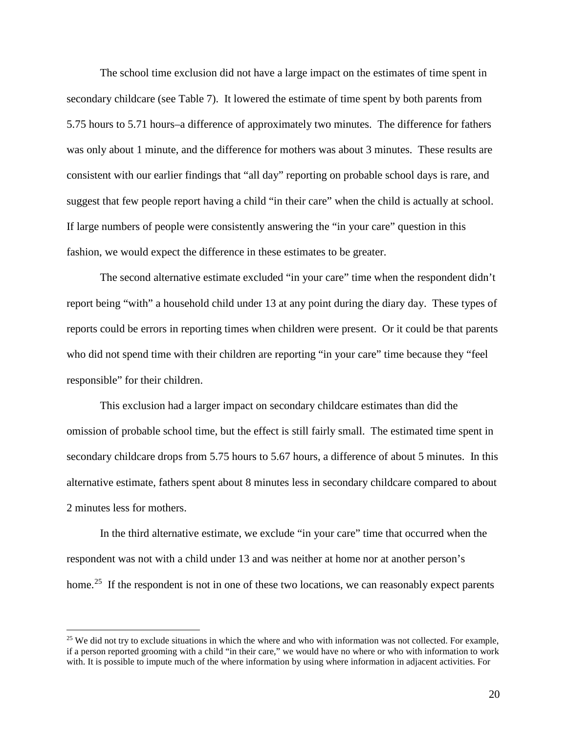The school time exclusion did not have a large impact on the estimates of time spent in secondary childcare (see Table 7). It lowered the estimate of time spent by both parents from 5.75 hours to 5.71 hours–a difference of approximately two minutes. The difference for fathers was only about 1 minute, and the difference for mothers was about 3 minutes. These results are consistent with our earlier findings that "all day" reporting on probable school days is rare, and suggest that few people report having a child "in their care" when the child is actually at school. If large numbers of people were consistently answering the "in your care" question in this fashion, we would expect the difference in these estimates to be greater.

The second alternative estimate excluded "in your care" time when the respondent didn't report being "with" a household child under 13 at any point during the diary day. These types of reports could be errors in reporting times when children were present. Or it could be that parents who did not spend time with their children are reporting "in your care" time because they "feel responsible" for their children.

This exclusion had a larger impact on secondary childcare estimates than did the omission of probable school time, but the effect is still fairly small. The estimated time spent in secondary childcare drops from 5.75 hours to 5.67 hours, a difference of about 5 minutes. In this alternative estimate, fathers spent about 8 minutes less in secondary childcare compared to about 2 minutes less for mothers.

In the third alternative estimate, we exclude "in your care" time that occurred when the respondent was not with a child under 13 and was neither at home nor at another person's home.<sup>[25](#page-22-0)</sup> If the respondent is not in one of these two locations, we can reasonably expect parents

<span id="page-22-0"></span><sup>&</sup>lt;sup>25</sup> We did not try to exclude situations in which the where and who with information was not collected. For example, if a person reported grooming with a child "in their care," we would have no where or who with information to work with. It is possible to impute much of the where information by using where information in adjacent activities. For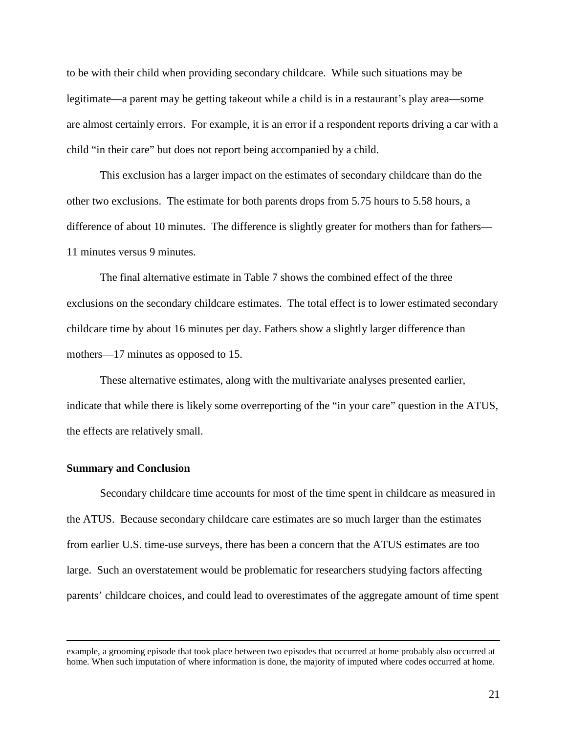to be with their child when providing secondary childcare. While such situations may be legitimate—a parent may be getting takeout while a child is in a restaurant's play area—some are almost certainly errors. For example, it is an error if a respondent reports driving a car with a child "in their care" but does not report being accompanied by a child.

This exclusion has a larger impact on the estimates of secondary childcare than do the other two exclusions. The estimate for both parents drops from 5.75 hours to 5.58 hours, a difference of about 10 minutes. The difference is slightly greater for mothers than for fathers— 11 minutes versus 9 minutes.

The final alternative estimate in Table 7 shows the combined effect of the three exclusions on the secondary childcare estimates. The total effect is to lower estimated secondary childcare time by about 16 minutes per day. Fathers show a slightly larger difference than mothers—17 minutes as opposed to 15.

These alternative estimates, along with the multivariate analyses presented earlier, indicate that while there is likely some overreporting of the "in your care" question in the ATUS, the effects are relatively small.

#### **Summary and Conclusion**

 $\overline{a}$ 

Secondary childcare time accounts for most of the time spent in childcare as measured in the ATUS. Because secondary childcare care estimates are so much larger than the estimates from earlier U.S. time-use surveys, there has been a concern that the ATUS estimates are too large. Such an overstatement would be problematic for researchers studying factors affecting parents' childcare choices, and could lead to overestimates of the aggregate amount of time spent

example, a grooming episode that took place between two episodes that occurred at home probably also occurred at home. When such imputation of where information is done, the majority of imputed where codes occurred at home.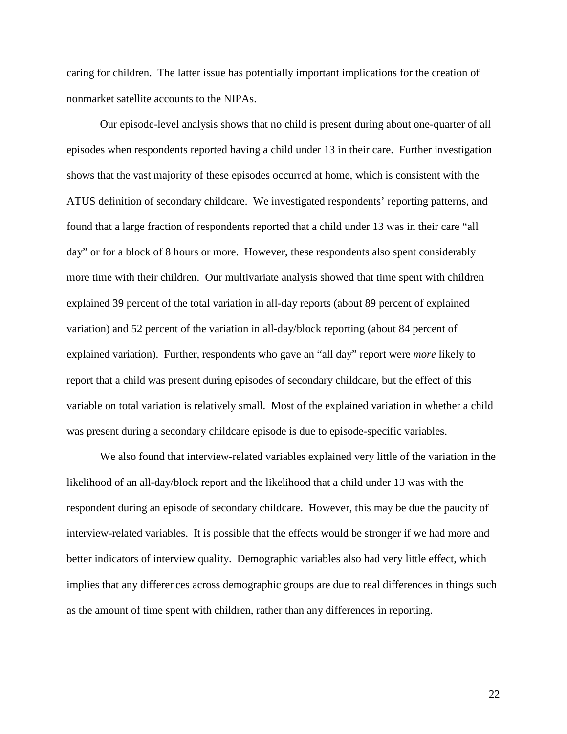caring for children. The latter issue has potentially important implications for the creation of nonmarket satellite accounts to the NIPAs.

Our episode-level analysis shows that no child is present during about one-quarter of all episodes when respondents reported having a child under 13 in their care. Further investigation shows that the vast majority of these episodes occurred at home, which is consistent with the ATUS definition of secondary childcare. We investigated respondents' reporting patterns, and found that a large fraction of respondents reported that a child under 13 was in their care "all day" or for a block of 8 hours or more. However, these respondents also spent considerably more time with their children. Our multivariate analysis showed that time spent with children explained 39 percent of the total variation in all-day reports (about 89 percent of explained variation) and 52 percent of the variation in all-day/block reporting (about 84 percent of explained variation). Further, respondents who gave an "all day" report were *more* likely to report that a child was present during episodes of secondary childcare, but the effect of this variable on total variation is relatively small. Most of the explained variation in whether a child was present during a secondary childcare episode is due to episode-specific variables.

We also found that interview-related variables explained very little of the variation in the likelihood of an all-day/block report and the likelihood that a child under 13 was with the respondent during an episode of secondary childcare. However, this may be due the paucity of interview-related variables. It is possible that the effects would be stronger if we had more and better indicators of interview quality. Demographic variables also had very little effect, which implies that any differences across demographic groups are due to real differences in things such as the amount of time spent with children, rather than any differences in reporting.

22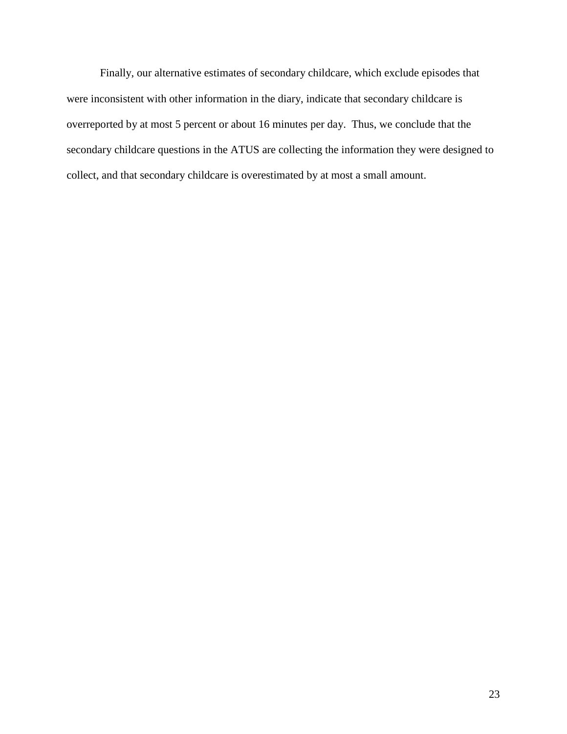Finally, our alternative estimates of secondary childcare, which exclude episodes that were inconsistent with other information in the diary, indicate that secondary childcare is overreported by at most 5 percent or about 16 minutes per day. Thus, we conclude that the secondary childcare questions in the ATUS are collecting the information they were designed to collect, and that secondary childcare is overestimated by at most a small amount.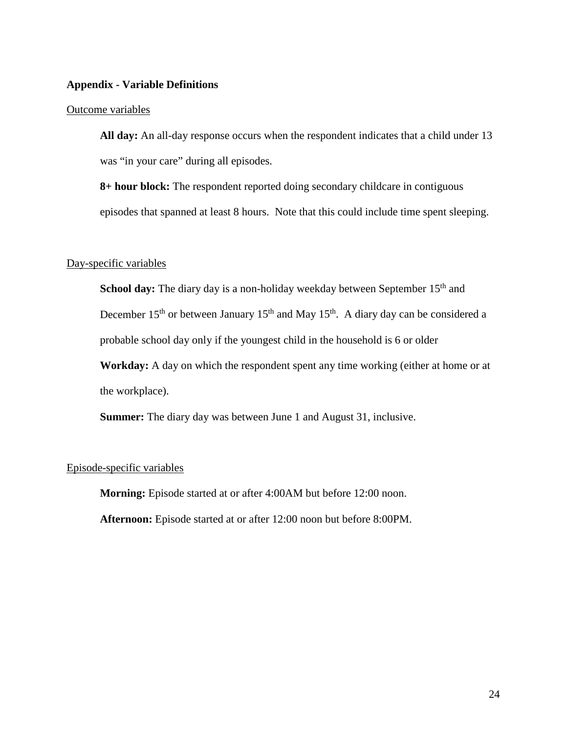#### **Appendix - Variable Definitions**

#### Outcome variables

**All day:** An all-day response occurs when the respondent indicates that a child under 13 was "in your care" during all episodes.

**8+ hour block:** The respondent reported doing secondary childcare in contiguous episodes that spanned at least 8 hours. Note that this could include time spent sleeping.

#### Day-specific variables

**School day:** The diary day is a non-holiday weekday between September 15<sup>th</sup> and December  $15<sup>th</sup>$  or between January  $15<sup>th</sup>$  and May  $15<sup>th</sup>$ . A diary day can be considered a probable school day only if the youngest child in the household is 6 or older

**Workday:** A day on which the respondent spent any time working (either at home or at the workplace).

**Summer:** The diary day was between June 1 and August 31, inclusive.

#### Episode-specific variables

**Morning:** Episode started at or after 4:00AM but before 12:00 noon.

**Afternoon:** Episode started at or after 12:00 noon but before 8:00PM.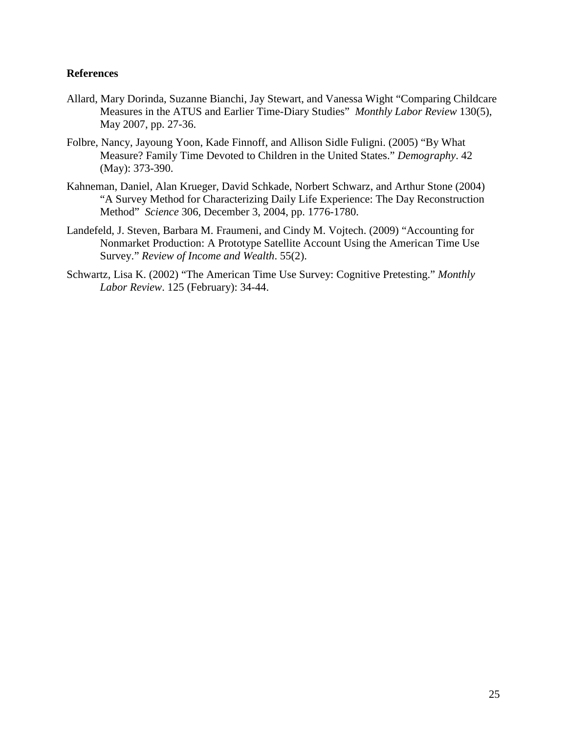#### **References**

- Allard, Mary Dorinda, Suzanne Bianchi, Jay Stewart, and Vanessa Wight "Comparing Childcare Measures in the ATUS and Earlier Time-Diary Studies" *Monthly Labor Review* 130(5), May 2007, pp. 27-36.
- Folbre, Nancy, Jayoung Yoon, Kade Finnoff, and Allison Sidle Fuligni. (2005) "By What Measure? Family Time Devoted to Children in the United States." *Demography*. 42 (May): 373-390.
- Kahneman, Daniel, Alan Krueger, David Schkade, Norbert Schwarz, and Arthur Stone (2004) "A Survey Method for Characterizing Daily Life Experience: The Day Reconstruction Method" *Science* 306, December 3, 2004, pp. 1776-1780.
- Landefeld, J. Steven, Barbara M. Fraumeni, and Cindy M. Vojtech. (2009) "Accounting for Nonmarket Production: A Prototype Satellite Account Using the American Time Use Survey." *Review of Income and Wealth*. 55(2).
- Schwartz, Lisa K. (2002) "The American Time Use Survey: Cognitive Pretesting." *Monthly Labor Review*. 125 (February): 34-44.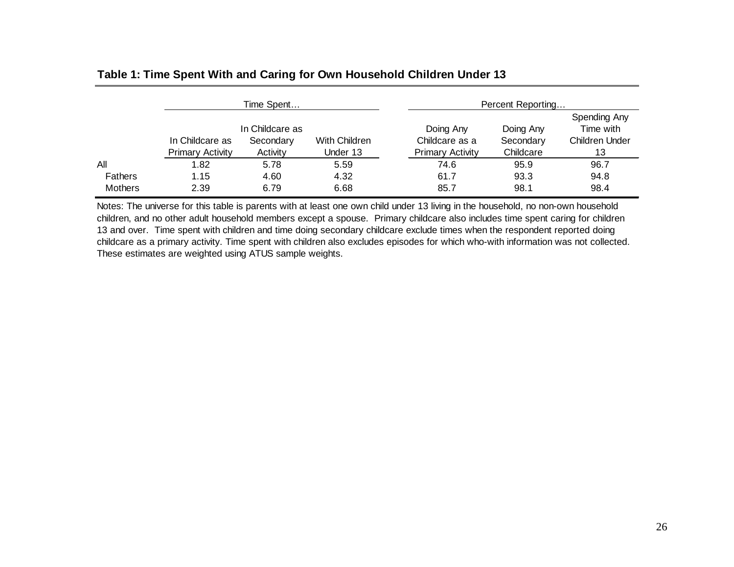|                |                                            | Time Spent                               |                           | Percent Reporting                                      |                                     |                                                          |  |
|----------------|--------------------------------------------|------------------------------------------|---------------------------|--------------------------------------------------------|-------------------------------------|----------------------------------------------------------|--|
|                | In Childcare as<br><b>Primary Activity</b> | In Childcare as<br>Secondary<br>Activity | With Children<br>Under 13 | Doing Any<br>Childcare as a<br><b>Primary Activity</b> | Doing Any<br>Secondary<br>Childcare | Spending Any<br>Time with<br><b>Children Under</b><br>13 |  |
| All            | 1.82                                       | 5.78                                     | 5.59                      | 74.6                                                   | 95.9                                | 96.7                                                     |  |
| <b>Fathers</b> | 1.15                                       | 4.60                                     | 4.32                      | 61.7                                                   | 93.3                                | 94.8                                                     |  |
| <b>Mothers</b> | 2.39                                       | 6.79                                     | 6.68                      | 85.7                                                   | 98.1                                | 98.4                                                     |  |

### **Table 1: Time Spent With and Caring for Own Household Children Under 13**

Notes: The universe for this table is parents with at least one own child under 13 living in the household, no non-own household children, and no other adult household members except a spouse. Primary childcare also includes time spent caring for children 13 and over. Time spent with children and time doing secondary childcare exclude times when the respondent reported doing childcare as a primary activity. Time spent with children also excludes episodes for which who-with information was not collected. These estimates are weighted using ATUS sample weights.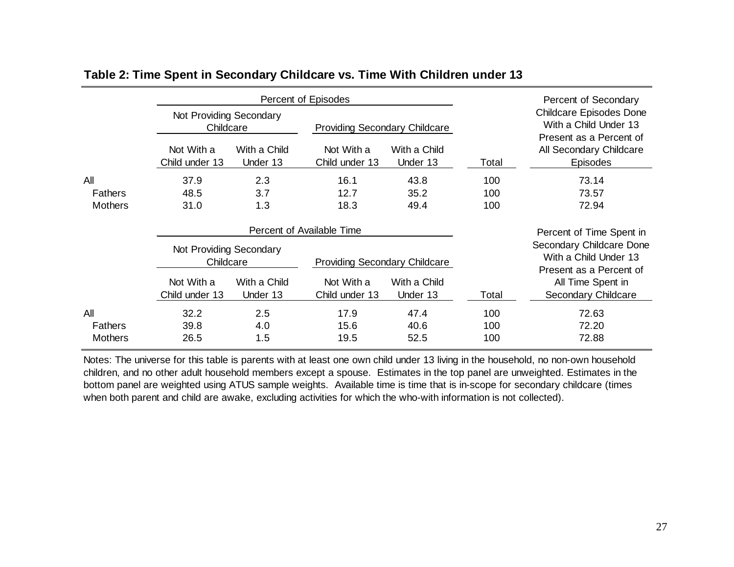|                                      |                                      | Percent of Episodes      |                                      |                          | Percent of Secondary |                                                                                    |  |
|--------------------------------------|--------------------------------------|--------------------------|--------------------------------------|--------------------------|----------------------|------------------------------------------------------------------------------------|--|
|                                      | Not Providing Secondary<br>Childcare |                          | <b>Providing Secondary Childcare</b> |                          |                      | <b>Childcare Episodes Done</b><br>With a Child Under 13<br>Present as a Percent of |  |
|                                      | Not With a<br>Child under 13         | With a Child<br>Under 13 | Not With a<br>Child under 13         | With a Child<br>Under 13 | Total                | All Secondary Childcare<br><b>Episodes</b>                                         |  |
| All                                  | 37.9                                 | 2.3                      | 16.1                                 | 43.8                     | 100                  | 73.14                                                                              |  |
| <b>Fathers</b>                       | 48.5                                 | 3.7                      | 12.7                                 | 35.2                     | 100                  | 73.57                                                                              |  |
| <b>Mothers</b>                       | 31.0                                 | 1.3                      | 18.3                                 | 49.4                     | 100                  | 72.94                                                                              |  |
|                                      | Percent of Available Time            |                          |                                      |                          |                      | Percent of Time Spent in                                                           |  |
| Not Providing Secondary<br>Childcare |                                      |                          | <b>Providing Secondary Childcare</b> |                          |                      | Secondary Childcare Done<br>With a Child Under 13<br>Present as a Percent of       |  |
|                                      | Not With a<br>Child under 13         | With a Child<br>Under 13 | Not With a<br>Child under 13         | With a Child<br>Under 13 | Total                | All Time Spent in<br>Secondary Childcare                                           |  |
| All                                  | 32.2                                 | 2.5                      | 17.9                                 | 47.4                     | 100                  | 72.63                                                                              |  |
| <b>Fathers</b>                       | 39.8                                 | 4.0                      | 15.6                                 | 40.6                     | 100                  | 72.20                                                                              |  |
| <b>Mothers</b>                       | 26.5                                 | 1.5                      | 19.5                                 | 52.5                     | 100                  | 72.88                                                                              |  |

### **Table 2: Time Spent in Secondary Childcare vs. Time With Children under 13**

Notes: The universe for this table is parents with at least one own child under 13 living in the household, no non-own household children, and no other adult household members except a spouse. Estimates in the top panel are unweighted. Estimates in the bottom panel are weighted using ATUS sample weights. Available time is time that is in-scope for secondary childcare (times when both parent and child are awake, excluding activities for which the who-with information is not collected).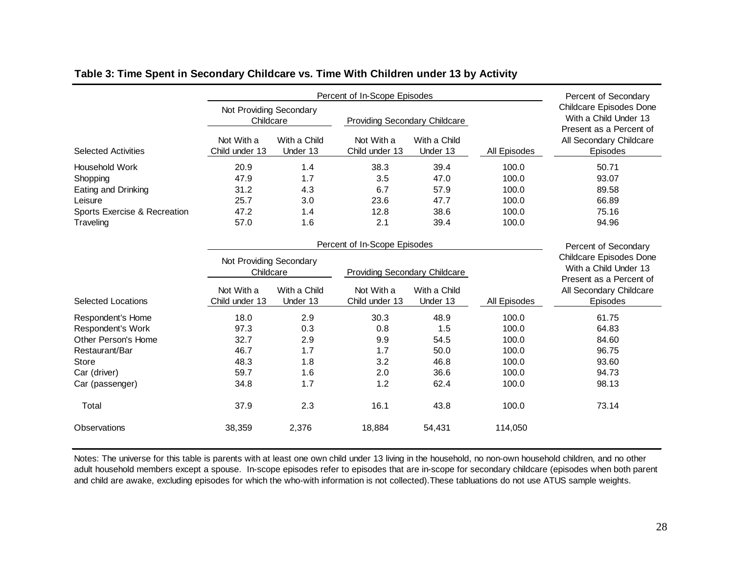|                                      |                                                    | Percent of Secondary     |                                                    |                          |                      |                                                                                                               |
|--------------------------------------|----------------------------------------------------|--------------------------|----------------------------------------------------|--------------------------|----------------------|---------------------------------------------------------------------------------------------------------------|
|                                      | Not Providing Secondary<br>Childcare<br>Not With a | With a Child             | <b>Providing Secondary Childcare</b><br>Not With a | With a Child             |                      | <b>Childcare Episodes Done</b><br>With a Child Under 13<br>Present as a Percent of<br>All Secondary Childcare |
| <b>Selected Activities</b>           | Child under 13                                     | Under 13                 | Child under 13                                     | Under 13                 | All Episodes         | Episodes                                                                                                      |
| Household Work                       | 20.9                                               | 1.4                      | 38.3                                               | 39.4                     | 100.0                | 50.71                                                                                                         |
| Shopping                             | 47.9                                               | 1.7                      | 3.5                                                | 47.0                     | 100.0                | 93.07                                                                                                         |
| Eating and Drinking                  | 31.2                                               | 4.3                      | 6.7                                                | 57.9                     | 100.0                | 89.58                                                                                                         |
| Leisure                              | 25.7                                               | 3.0                      | 23.6                                               | 47.7                     | 100.0                | 66.89                                                                                                         |
| Sports Exercise & Recreation         | 47.2                                               | 1.4                      | 12.8                                               | 38.6                     | 100.0                | 75.16                                                                                                         |
| Traveling                            | 57.0                                               | 1.6                      | 2.1                                                | 39.4                     | 100.0                | 94.96                                                                                                         |
| Percent of In-Scope Episodes         |                                                    |                          |                                                    |                          | Percent of Secondary |                                                                                                               |
| Not Providing Secondary<br>Childcare |                                                    |                          | <b>Providing Secondary Childcare</b>               |                          |                      | Childcare Episodes Done<br>With a Child Under 13<br>Present as a Percent of                                   |
| <b>Selected Locations</b>            | Not With a<br>Child under 13                       | With a Child<br>Under 13 | Not With a<br>Child under 13                       | With a Child<br>Under 13 | All Episodes         | All Secondary Childcare<br>Episodes                                                                           |
|                                      |                                                    |                          |                                                    |                          |                      |                                                                                                               |
| Respondent's Home                    | 18.0                                               | 2.9                      | 30.3                                               | 48.9                     | 100.0                | 61.75                                                                                                         |
| Respondent's Work                    | 97.3                                               | 0.3                      | 0.8                                                | 1.5                      | 100.0                | 64.83                                                                                                         |
| Other Person's Home                  | 32.7                                               | 2.9                      | 9.9                                                | 54.5                     | 100.0                | 84.60                                                                                                         |
| Restaurant/Bar                       | 46.7                                               | 1.7                      | 1.7                                                | 50.0                     | 100.0                | 96.75                                                                                                         |
| <b>Store</b>                         | 48.3                                               | 1.8                      | 3.2                                                | 46.8                     | 100.0                | 93.60                                                                                                         |
| Car (driver)                         | 59.7                                               | 1.6                      | 2.0                                                | 36.6                     | 100.0                | 94.73                                                                                                         |
| Car (passenger)                      | 34.8                                               | 1.7                      | 1.2                                                | 62.4                     | 100.0                | 98.13                                                                                                         |
| Total                                | 37.9                                               | 2.3                      | 16.1                                               | 43.8                     | 100.0                | 73.14                                                                                                         |
| Observations                         | 38,359                                             | 2,376                    | 18,884                                             | 54,431                   | 114,050              |                                                                                                               |

#### **Table 3: Time Spent in Secondary Childcare vs. Time With Children under 13 by Activity**

Notes: The universe for this table is parents with at least one own child under 13 living in the household, no non-own household children, and no other adult household members except a spouse. In-scope episodes refer to episodes that are in-scope for secondary childcare (episodes when both parent and child are awake, excluding episodes for which the who-with information is not collected).These tabluations do not use ATUS sample weights.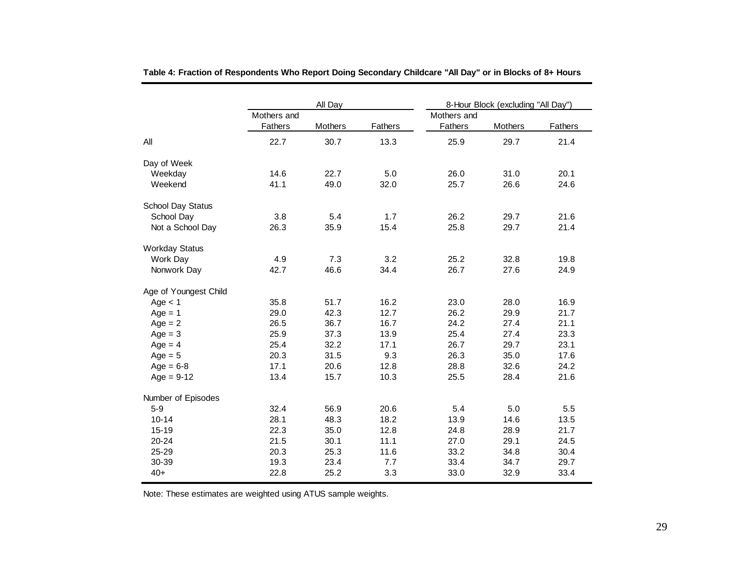|                       |             | All Day |         |             | 8-Hour Block (excluding "All Day") |         |
|-----------------------|-------------|---------|---------|-------------|------------------------------------|---------|
|                       | Mothers and |         |         | Mothers and |                                    |         |
|                       | Fathers     | Mothers | Fathers | Fathers     | Mothers                            | Fathers |
| All                   | 22.7        | 30.7    | 13.3    | 25.9        | 29.7                               | 21.4    |
| Day of Week           |             |         |         |             |                                    |         |
| Weekday               | 14.6        | 22.7    | 5.0     | 26.0        | 31.0                               | 20.1    |
| Weekend               | 41.1        | 49.0    | 32.0    | 25.7        | 26.6                               | 24.6    |
| School Day Status     |             |         |         |             |                                    |         |
| School Day            | 3.8         | 5.4     | 1.7     | 26.2        | 29.7                               | 21.6    |
| Not a School Day      | 26.3        | 35.9    | 15.4    | 25.8        | 29.7                               | 21.4    |
| <b>Workday Status</b> |             |         |         |             |                                    |         |
| Work Day              | 4.9         | 7.3     | 3.2     | 25.2        | 32.8                               | 19.8    |
| Nonwork Day           | 42.7        | 46.6    | 34.4    | 26.7        | 27.6                               | 24.9    |
| Age of Youngest Child |             |         |         |             |                                    |         |
| Age $<$ 1             | 35.8        | 51.7    | 16.2    | 23.0        | 28.0                               | 16.9    |
| $Age = 1$             | 29.0        | 42.3    | 12.7    | 26.2        | 29.9                               | 21.7    |
| $Age = 2$             | 26.5        | 36.7    | 16.7    | 24.2        | 27.4                               | 21.1    |
| $Age = 3$             | 25.9        | 37.3    | 13.9    | 25.4        | 27.4                               | 23.3    |
| $Age = 4$             | 25.4        | 32.2    | 17.1    | 26.7        | 29.7                               | 23.1    |
| $Age = 5$             | 20.3        | 31.5    | 9.3     | 26.3        | 35.0                               | 17.6    |
| $Age = 6-8$           | 17.1        | 20.6    | 12.8    | 28.8        | 32.6                               | 24.2    |
| $Age = 9-12$          | 13.4        | 15.7    | 10.3    | 25.5        | 28.4                               | 21.6    |
| Number of Episodes    |             |         |         |             |                                    |         |
| $5-9$                 | 32.4        | 56.9    | 20.6    | 5.4         | 5.0                                | 5.5     |
| $10 - 14$             | 28.1        | 48.3    | 18.2    | 13.9        | 14.6                               | 13.5    |
| $15 - 19$             | 22.3        | 35.0    | 12.8    | 24.8        | 28.9                               | 21.7    |
| 20-24                 | 21.5        | 30.1    | 11.1    | 27.0        | 29.1                               | 24.5    |
| 25-29                 | 20.3        | 25.3    | 11.6    | 33.2        | 34.8                               | 30.4    |
| 30-39                 | 19.3        | 23.4    | 7.7     | 33.4        | 34.7                               | 29.7    |
| $40+$                 | 22.8        | 25.2    | 3.3     | 33.0        | 32.9                               | 33.4    |

**Table 4: Fraction of Respondents Who Report Doing Secondary Childcare "All Day" or in Blocks of 8+ Hours**

Note: These estimates are weighted using ATUS sample weights.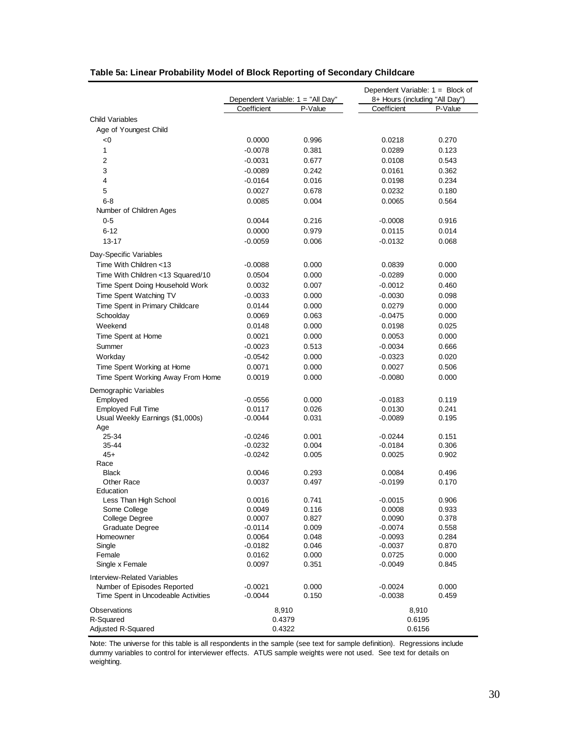|                                     | Dependent Variable: 1 = "All Day" |                | Dependent Variable: $1 = Block of$<br>8+ Hours (including "All Day") |                |  |  |
|-------------------------------------|-----------------------------------|----------------|----------------------------------------------------------------------|----------------|--|--|
|                                     | Coefficient                       | P-Value        | Coefficient                                                          | P-Value        |  |  |
| <b>Child Variables</b>              |                                   |                |                                                                      |                |  |  |
| Age of Youngest Child               |                                   |                |                                                                      |                |  |  |
| < 0                                 | 0.0000                            | 0.996          | 0.0218                                                               | 0.270          |  |  |
| 1                                   | $-0.0078$                         | 0.381          | 0.0289                                                               | 0.123          |  |  |
| 2                                   | $-0.0031$                         | 0.677          | 0.0108                                                               | 0.543          |  |  |
| 3                                   | $-0.0089$                         | 0.242          | 0.0161                                                               | 0.362          |  |  |
| 4                                   | $-0.0164$                         | 0.016          | 0.0198                                                               | 0.234          |  |  |
| 5                                   | 0.0027                            | 0.678          | 0.0232                                                               | 0.180          |  |  |
| $6 - 8$                             | 0.0085                            | 0.004          | 0.0065                                                               | 0.564          |  |  |
| Number of Children Ages             |                                   |                |                                                                      |                |  |  |
| $0 - 5$                             | 0.0044                            | 0.216          | $-0.0008$                                                            | 0.916          |  |  |
| $6 - 12$                            | 0.0000                            | 0.979          | 0.0115                                                               | 0.014          |  |  |
| $13 - 17$                           | $-0.0059$                         | 0.006          | $-0.0132$                                                            | 0.068          |  |  |
|                                     |                                   |                |                                                                      |                |  |  |
| Day-Specific Variables              |                                   |                |                                                                      |                |  |  |
| Time With Children <13              | $-0.0088$                         | 0.000          | 0.0839                                                               | 0.000          |  |  |
| Time With Children <13 Squared/10   | 0.0504                            | 0.000          | $-0.0289$                                                            | 0.000          |  |  |
| Time Spent Doing Household Work     | 0.0032                            | 0.007          | $-0.0012$                                                            | 0.460          |  |  |
| Time Spent Watching TV              | $-0.0033$                         | 0.000          | $-0.0030$                                                            | 0.098          |  |  |
| Time Spent in Primary Childcare     | 0.0144                            | 0.000          | 0.0279                                                               | 0.000          |  |  |
| Schoolday                           | 0.0069                            | 0.063          | $-0.0475$                                                            | 0.000          |  |  |
| Weekend                             | 0.0148                            | 0.000          | 0.0198                                                               | 0.025          |  |  |
| Time Spent at Home                  | 0.0021                            | 0.000          | 0.0053                                                               | 0.000          |  |  |
| Summer                              | $-0.0023$                         | 0.513          | $-0.0034$                                                            | 0.666          |  |  |
| Workday                             | $-0.0542$                         | 0.000          | $-0.0323$                                                            | 0.020          |  |  |
| Time Spent Working at Home          | 0.0071                            | 0.000          | 0.0027                                                               | 0.506          |  |  |
| Time Spent Working Away From Home   | 0.0019                            | 0.000          | $-0.0080$                                                            | 0.000          |  |  |
| Demographic Variables               |                                   |                |                                                                      |                |  |  |
| Employed                            | $-0.0556$                         | 0.000          | $-0.0183$                                                            | 0.119          |  |  |
| <b>Employed Full Time</b>           | 0.0117                            | 0.026          | 0.0130                                                               | 0.241          |  |  |
| Usual Weekly Earnings (\$1,000s)    | $-0.0044$                         | 0.031          | $-0.0089$                                                            | 0.195          |  |  |
| Age                                 |                                   |                |                                                                      |                |  |  |
| 25-34                               | $-0.0246$                         | 0.001          | $-0.0244$                                                            | 0.151          |  |  |
| 35-44                               | $-0.0232$                         | 0.004          | $-0.0184$                                                            | 0.306          |  |  |
| $45+$<br>Race                       | $-0.0242$                         | 0.005          | 0.0025                                                               | 0.902          |  |  |
| <b>Black</b>                        | 0.0046                            | 0.293          | 0.0084                                                               | 0.496          |  |  |
| Other Race                          | 0.0037                            | 0.497          | $-0.0199$                                                            | 0.170          |  |  |
| Education                           |                                   |                |                                                                      |                |  |  |
| Less Than High School               | 0.0016                            | 0.741          | $-0.0015$                                                            | 0.906          |  |  |
| Some College                        | 0.0049                            | 0.116          | 0.0008                                                               | 0.933          |  |  |
| College Degree                      | 0.0007                            | 0.827          | 0.0090                                                               | 0.378          |  |  |
| Graduate Degree                     | $-0.0114$                         | 0.009          | $-0.0074$                                                            | 0.558          |  |  |
| Homeowner                           | 0.0064                            | 0.048          | $-0.0093$                                                            | 0.284          |  |  |
| Single                              | $-0.0182$                         | 0.046<br>0.000 | $-0.0037$                                                            | 0.870<br>0.000 |  |  |
| Female<br>Single x Female           | 0.0162<br>0.0097                  | 0.351          | 0.0725<br>$-0.0049$                                                  | 0.845          |  |  |
|                                     |                                   |                |                                                                      |                |  |  |
| <b>Interview-Related Variables</b>  |                                   |                |                                                                      |                |  |  |
| Number of Episodes Reported         | $-0.0021$                         | 0.000          | $-0.0024$                                                            | 0.000          |  |  |
| Time Spent in Uncodeable Activities | $-0.0044$                         | 0.150          | $-0.0038$                                                            | 0.459          |  |  |
| <b>Observations</b>                 | 8,910                             |                | 8,910                                                                |                |  |  |
| R-Squared                           | 0.4379                            |                | 0.6195                                                               |                |  |  |
| Adjusted R-Squared                  | 0.4322                            |                | 0.6156                                                               |                |  |  |

#### **Table 5a: Linear Probability Model of Block Reporting of Secondary Childcare**

Note: The universe for this table is all respondents in the sample (see text for sample definition). Regressions include dummy variables to control for interviewer effects. ATUS sample weights were not used. See text for details on weighting.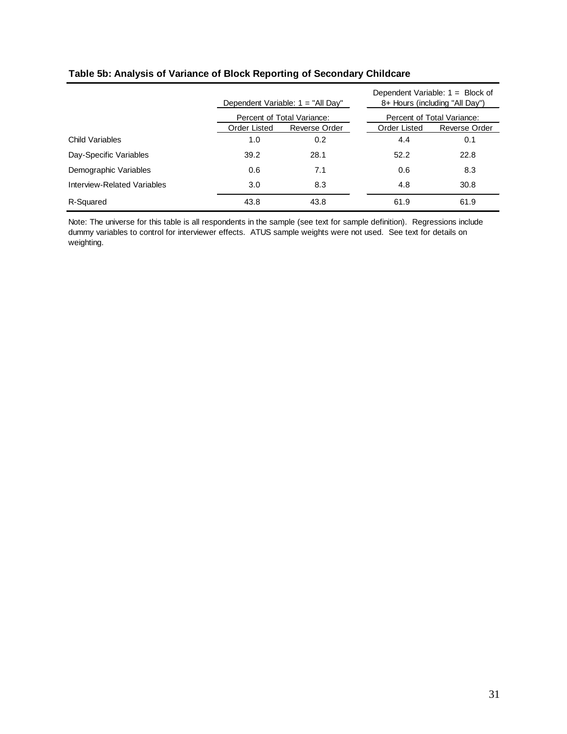|                             | Dependent Variable: $1 = "All Day"$ |               |  | Dependent Variable: $1 =$ Block of<br>8+ Hours (including "All Day") |               |  |
|-----------------------------|-------------------------------------|---------------|--|----------------------------------------------------------------------|---------------|--|
|                             | Percent of Total Variance:          |               |  | Percent of Total Variance:                                           |               |  |
|                             | Order Listed                        | Reverse Order |  | Order Listed                                                         | Reverse Order |  |
| Child Variables             | 1.0                                 | 0.2           |  | 4.4                                                                  | 0.1           |  |
| Day-Specific Variables      | 39.2                                | 28.1          |  | 52.2                                                                 | 22.8          |  |
| Demographic Variables       | 0.6                                 | 7.1           |  | 0.6                                                                  | 8.3           |  |
| Interview-Related Variables | 3.0                                 | 8.3           |  | 4.8                                                                  | 30.8          |  |
| R-Squared                   | 43.8                                | 43.8          |  | 61.9                                                                 | 61.9          |  |

#### **Table 5b: Analysis of Variance of Block Reporting of Secondary Childcare**

Note: The universe for this table is all respondents in the sample (see text for sample definition). Regressions include dummy variables to control for interviewer effects. ATUS sample weights were not used. See text for details on weighting.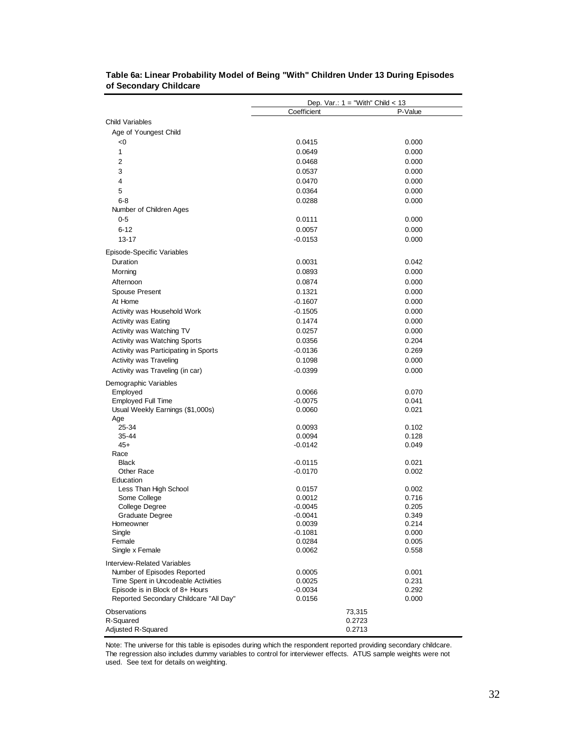|                                        | Dep. Var.: $1 =$ "With" Child < 13 |                |
|----------------------------------------|------------------------------------|----------------|
|                                        | Coefficient                        | P-Value        |
| Child Variables                        |                                    |                |
| Age of Youngest Child                  |                                    |                |
| <0                                     | 0.0415                             | 0.000          |
| $\mathbf{1}$                           | 0.0649                             | 0.000          |
| $\overline{2}$                         | 0.0468                             | 0.000          |
| 3                                      | 0.0537                             | 0.000          |
| 4                                      | 0.0470                             | 0.000          |
| 5                                      | 0.0364                             | 0.000          |
| $6 - 8$                                | 0.0288                             | 0.000          |
| Number of Children Ages                |                                    |                |
| $0 - 5$                                | 0.0111                             | 0.000          |
| $6 - 12$                               | 0.0057                             | 0.000          |
| $13 - 17$                              | $-0.0153$                          | 0.000          |
| Episode-Specific Variables             |                                    |                |
| Duration                               | 0.0031                             | 0.042          |
| Morning                                | 0.0893                             | 0.000          |
| Afternoon                              | 0.0874                             | 0.000          |
| Spouse Present                         | 0.1321                             | 0.000          |
| At Home                                | $-0.1607$                          | 0.000          |
| Activity was Household Work            | $-0.1505$                          | 0.000          |
| Activity was Eating                    | 0.1474                             | 0.000          |
| Activity was Watching TV               | 0.0257                             | 0.000          |
| Activity was Watching Sports           | 0.0356                             | 0.204          |
| Activity was Participating in Sports   | $-0.0136$                          | 0.269          |
| Activity was Traveling                 | 0.1098                             | 0.000          |
| Activity was Traveling (in car)        | $-0.0399$                          | 0.000          |
| Demographic Variables                  |                                    |                |
| Employed                               | 0.0066                             | 0.070          |
| <b>Employed Full Time</b>              | $-0.0075$                          | 0.041          |
| Usual Weekly Earnings (\$1,000s)       | 0.0060                             | 0.021          |
| Age                                    |                                    |                |
| 25-34                                  | 0.0093                             | 0.102          |
| 35-44                                  | 0.0094                             | 0.128          |
| $45+$<br>Race                          | $-0.0142$                          | 0.049          |
| <b>Black</b>                           | $-0.0115$                          | 0.021          |
| Other Race                             | $-0.0170$                          | 0.002          |
| Education                              |                                    |                |
| Less Than High School                  | 0.0157                             | 0.002          |
| Some College                           | 0.0012                             | 0.716          |
| <b>College Degree</b>                  | $-0.0045$                          | 0.205          |
| Graduate Degree                        | $-0.0041$                          | 0.349          |
| Homeowner                              | 0.0039                             | 0.214          |
| Single<br>Female                       | $-0.1081$<br>0.0284                | 0.000<br>0.005 |
| Single x Female                        | 0.0062                             | 0.558          |
| <b>Interview-Related Variables</b>     |                                    |                |
| Number of Episodes Reported            | 0.0005                             | 0.001          |
| Time Spent in Uncodeable Activities    | 0.0025                             | 0.231          |
| Episode is in Block of 8+ Hours        | -0.0034                            | 0.292          |
| Reported Secondary Childcare "All Day" | 0.0156                             | 0.000          |
| Observations                           | 73,315                             |                |
| R-Squared                              | 0.2723                             |                |
| Adjusted R-Squared                     | 0.2713                             |                |

| Table 6a: Linear Probability Model of Being "With" Children Under 13 During Episodes |  |  |  |
|--------------------------------------------------------------------------------------|--|--|--|
| of Secondary Childcare                                                               |  |  |  |

Note: The universe for this table is episodes during which the respondent reported providing secondary childcare. The regression also includes dummy variables to control for interviewer effects. ATUS sample weights were not used. See text for details on weighting.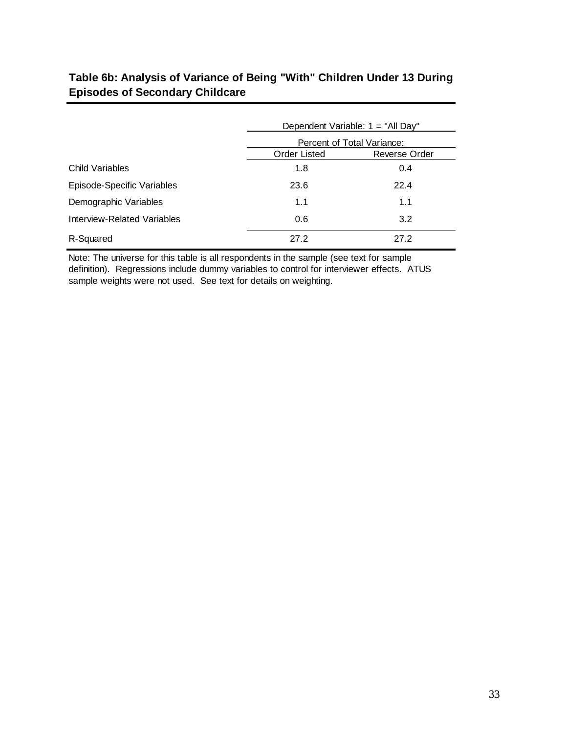# **Table 6b: Analysis of Variance of Being "With" Children Under 13 During Episodes of Secondary Childcare**

|                             | Dependent Variable: 1 = "All Day"    |      |  |  |  |
|-----------------------------|--------------------------------------|------|--|--|--|
|                             | Percent of Total Variance:           |      |  |  |  |
|                             | <b>Order Listed</b><br>Reverse Order |      |  |  |  |
| Child Variables             | 1.8                                  | 0.4  |  |  |  |
| Episode-Specific Variables  | 23.6                                 | 22.4 |  |  |  |
| Demographic Variables       | 1.1                                  | 1.1  |  |  |  |
| Interview-Related Variables | 0.6                                  | 3.2  |  |  |  |
| R-Squared                   | 27.2                                 | 27.2 |  |  |  |

Note: The universe for this table is all respondents in the sample (see text for sample definition). Regressions include dummy variables to control for interviewer effects. ATUS sample weights were not used. See text for details on weighting.